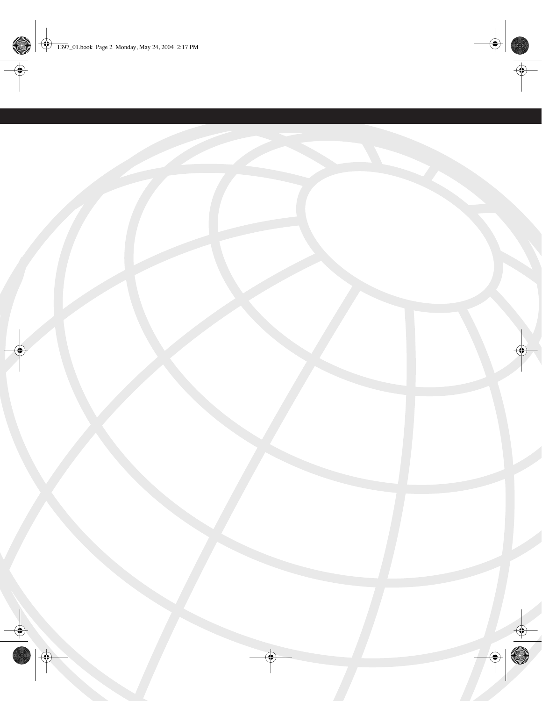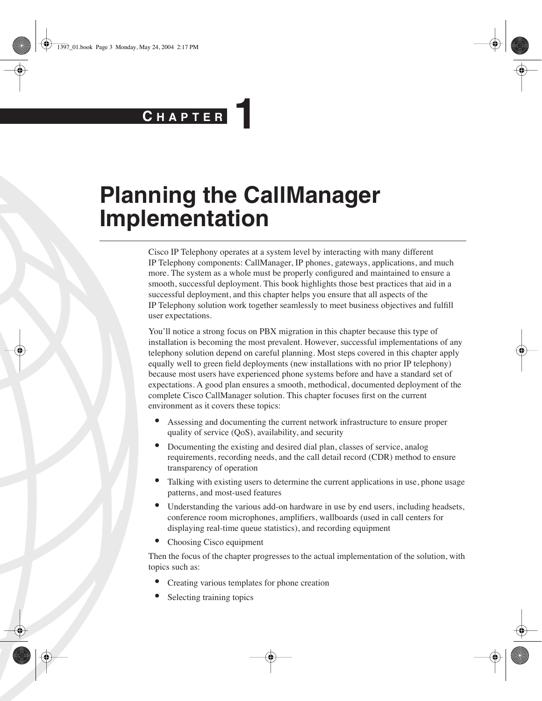# **Planning the CallManager Implementation**

Cisco IP Telephony operates at a system level by interacting with many different IP Telephony components: CallManager, IP phones, gateways, applications, and much more. The system as a whole must be properly configured and maintained to ensure a smooth, successful deployment. This book highlights those best practices that aid in a successful deployment, and this chapter helps you ensure that all aspects of the IP Telephony solution work together seamlessly to meet business objectives and fulfill user expectations.

You'll notice a strong focus on PBX migration in this chapter because this type of installation is becoming the most prevalent. However, successful implementations of any telephony solution depend on careful planning. Most steps covered in this chapter apply equally well to green field deployments (new installations with no prior IP telephony) because most users have experienced phone systems before and have a standard set of expectations. A good plan ensures a smooth, methodical, documented deployment of the complete Cisco CallManager solution. This chapter focuses first on the current environment as it covers these topics:

- Assessing and documenting the current network infrastructure to ensure proper quality of service (QoS), availability, and security
- Documenting the existing and desired dial plan, classes of service, analog requirements, recording needs, and the call detail record (CDR) method to ensure transparency of operation
- Talking with existing users to determine the current applications in use, phone usage patterns, and most-used features
- Understanding the various add-on hardware in use by end users, including headsets, conference room microphones, amplifiers, wallboards (used in call centers for displaying real-time queue statistics), and recording equipment
- Choosing Cisco equipment

Then the focus of the chapter progresses to the actual implementation of the solution, with topics such as:

- Creating various templates for phone creation
- Selecting training topics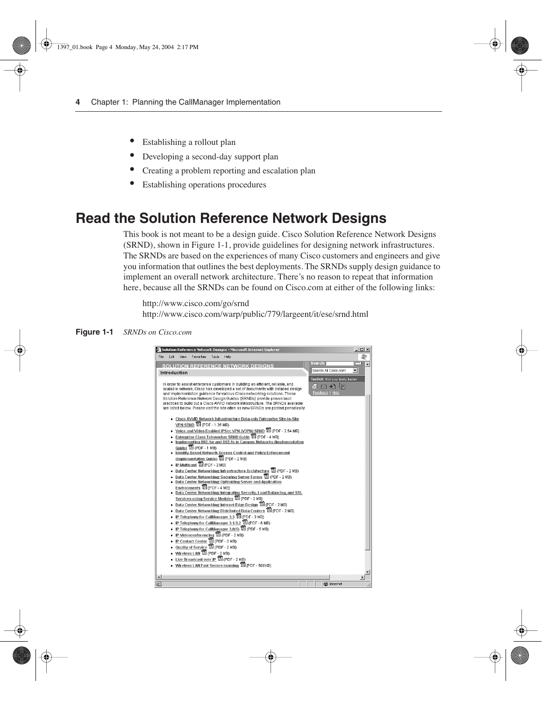- Establishing a rollout plan
- Developing a second-day support plan
- Creating a problem reporting and escalation plan
- Establishing operations procedures

# **Read the Solution Reference Network Designs**

This book is not meant to be a design guide. Cisco Solution Reference Network Designs (SRND), shown in Figure 1-1, provide guidelines for designing network infrastructures. The SRNDs are based on the experiences of many Cisco customers and engineers and give you information that outlines the best deployments. The SRNDs supply design guidance to implement an overall network architecture. There's no reason to repeat that information here, because all the SRNDs can be found on Cisco.com at either of the following links:

http://www.cisco.com/go/srnd http://www.cisco.com/warp/public/779/largeent/it/ese/srnd.html

**Figure 1-1** *SRNDs on Cisco.com*

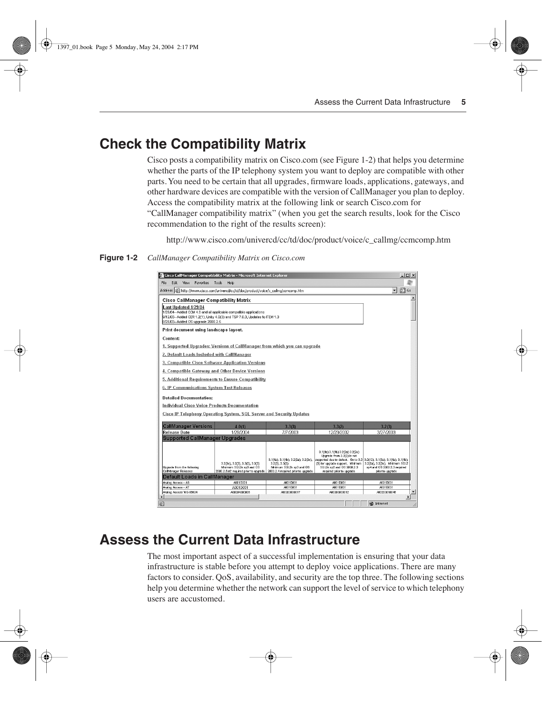# **Check the Compatibility Matrix**

Cisco posts a compatibility matrix on Cisco.com (see Figure 1-2) that helps you determine whether the parts of the IP telephony system you want to deploy are compatible with other parts. You need to be certain that all upgrades, firmware loads, applications, gateways, and other hardware devices are compatible with the version of CallManager you plan to deploy. Access the compatibility matrix at the following link or search Cisco.com for "CallManager compatibility matrix" (when you get the search results, look for the Cisco recommendation to the right of the results screen):

http://www.cisco.com/univercd/cc/td/doc/product/voice/c\_callmg/ccmcomp.htm

**Figure 1-2** *CallManager Compatibility Matrix on Cisco.com*

| Edit<br>View<br>Favorites<br>Tools<br>Help<br>Ð<br>Address a http://www.cisco.com/univercd/cc/td/doc/product/voice/c_callmg/ccmcomp.htm<br>$\overline{\phantom{a}}$<br>Cisco CallManager Compatibility Matrix<br>Last Updated 1/29/04<br>1/29/04--Added CCM 4.0 and all applicable compatible applications<br>9/12/03--Added CER 1.2(1), Unity 4.0(3) and TSP 7.0.3, Updates to ITEM 1.3<br>8/28/03--Added OS upgrade 2000.2.5<br>Print document using landscape layout.<br>Content:<br>1. Supported Upgrades: Versions of CallManager from which you can upgrade<br>2. Default Loads Included with CallManager<br>3. Compatible Cisco Software Application Versions<br>4. Compatible Gateway and Other Device Versions<br>5. Additional Requirements to Ensure Compatibility<br>6. IP Communications System Test Releases<br>Individual Cisco Voice Products Documentation<br>Cisco IP Telephony Operating System, SQL Server and Security Updates<br><b>CallManager Versions</b><br>4.0(1)<br>3.3(3)<br>3.3(2)<br>3.2(3)<br>Release Date<br>1/29/2004<br>7/7/2003<br>12/23/2002<br>3/27/2003<br><b>Supported CallManager Upgrades</b><br>3.1(4a) 3.1(4b) 3.2(2a) 3.2(2c)<br>Upgrade from 3.2(3) is not<br>3.1(4a), 3.1(4b), 3.2(2a), 3.2(2c),<br>supported due to defect. Go to 3.3 3.0(12), 3.1(3a), 3.1(4a), 3.1(4b),<br>3.2(2c), 3.2(3), 3.3(2), 3.3(3)<br>3.2(3), 3.3(2)<br>(3) for upgrade support. Minimum<br>3.2(2a), 3.2(2o). Minimum SQL7<br>Minimum SQL2k sp3 and OS<br>Uparade from the following<br>Minimum SQL2k sp3 and OS<br>SQL2k sp2 and OS 2000.2.3<br>sp4 and OS 2000.2.3 required<br><b>CallManager Releases</b><br>2000.2.5sr2 required prior to upgrade<br>2000.2.4 required prior to upgrade<br>required prior to upgrade<br>prior to upgrade<br>Default Loads in CallManager<br>A001D031<br>A001D031<br>A001D031<br>Analog Access - AS<br>A001D031<br>Analog Access - AT<br>A001D031<br>A001D031<br>A001D031<br>A001D031<br>Analog Access W/S-106624<br>A00204000006<br>400203030017<br>A00203030012<br>A00203010046<br><b>D</b> Internet |                                | <b>Cisco CallManager Compatibility Matrix - Microsoft Internet Explorer</b> |  | $ \Box$ $\times$ |
|---------------------------------------------------------------------------------------------------------------------------------------------------------------------------------------------------------------------------------------------------------------------------------------------------------------------------------------------------------------------------------------------------------------------------------------------------------------------------------------------------------------------------------------------------------------------------------------------------------------------------------------------------------------------------------------------------------------------------------------------------------------------------------------------------------------------------------------------------------------------------------------------------------------------------------------------------------------------------------------------------------------------------------------------------------------------------------------------------------------------------------------------------------------------------------------------------------------------------------------------------------------------------------------------------------------------------------------------------------------------------------------------------------------------------------------------------------------------------------------------------------------------------------------------------------------------------------------------------------------------------------------------------------------------------------------------------------------------------------------------------------------------------------------------------------------------------------------------------------------------------------------------------------------------------------------------------------------------------------------------------------------------------------------------------------------------|--------------------------------|-----------------------------------------------------------------------------|--|------------------|
|                                                                                                                                                                                                                                                                                                                                                                                                                                                                                                                                                                                                                                                                                                                                                                                                                                                                                                                                                                                                                                                                                                                                                                                                                                                                                                                                                                                                                                                                                                                                                                                                                                                                                                                                                                                                                                                                                                                                                                                                                                                                     | File                           |                                                                             |  | m                |
|                                                                                                                                                                                                                                                                                                                                                                                                                                                                                                                                                                                                                                                                                                                                                                                                                                                                                                                                                                                                                                                                                                                                                                                                                                                                                                                                                                                                                                                                                                                                                                                                                                                                                                                                                                                                                                                                                                                                                                                                                                                                     |                                |                                                                             |  | Go               |
|                                                                                                                                                                                                                                                                                                                                                                                                                                                                                                                                                                                                                                                                                                                                                                                                                                                                                                                                                                                                                                                                                                                                                                                                                                                                                                                                                                                                                                                                                                                                                                                                                                                                                                                                                                                                                                                                                                                                                                                                                                                                     |                                |                                                                             |  |                  |
|                                                                                                                                                                                                                                                                                                                                                                                                                                                                                                                                                                                                                                                                                                                                                                                                                                                                                                                                                                                                                                                                                                                                                                                                                                                                                                                                                                                                                                                                                                                                                                                                                                                                                                                                                                                                                                                                                                                                                                                                                                                                     |                                |                                                                             |  |                  |
|                                                                                                                                                                                                                                                                                                                                                                                                                                                                                                                                                                                                                                                                                                                                                                                                                                                                                                                                                                                                                                                                                                                                                                                                                                                                                                                                                                                                                                                                                                                                                                                                                                                                                                                                                                                                                                                                                                                                                                                                                                                                     |                                |                                                                             |  |                  |
|                                                                                                                                                                                                                                                                                                                                                                                                                                                                                                                                                                                                                                                                                                                                                                                                                                                                                                                                                                                                                                                                                                                                                                                                                                                                                                                                                                                                                                                                                                                                                                                                                                                                                                                                                                                                                                                                                                                                                                                                                                                                     |                                |                                                                             |  |                  |
|                                                                                                                                                                                                                                                                                                                                                                                                                                                                                                                                                                                                                                                                                                                                                                                                                                                                                                                                                                                                                                                                                                                                                                                                                                                                                                                                                                                                                                                                                                                                                                                                                                                                                                                                                                                                                                                                                                                                                                                                                                                                     |                                |                                                                             |  |                  |
|                                                                                                                                                                                                                                                                                                                                                                                                                                                                                                                                                                                                                                                                                                                                                                                                                                                                                                                                                                                                                                                                                                                                                                                                                                                                                                                                                                                                                                                                                                                                                                                                                                                                                                                                                                                                                                                                                                                                                                                                                                                                     |                                |                                                                             |  |                  |
|                                                                                                                                                                                                                                                                                                                                                                                                                                                                                                                                                                                                                                                                                                                                                                                                                                                                                                                                                                                                                                                                                                                                                                                                                                                                                                                                                                                                                                                                                                                                                                                                                                                                                                                                                                                                                                                                                                                                                                                                                                                                     |                                |                                                                             |  |                  |
|                                                                                                                                                                                                                                                                                                                                                                                                                                                                                                                                                                                                                                                                                                                                                                                                                                                                                                                                                                                                                                                                                                                                                                                                                                                                                                                                                                                                                                                                                                                                                                                                                                                                                                                                                                                                                                                                                                                                                                                                                                                                     |                                |                                                                             |  |                  |
|                                                                                                                                                                                                                                                                                                                                                                                                                                                                                                                                                                                                                                                                                                                                                                                                                                                                                                                                                                                                                                                                                                                                                                                                                                                                                                                                                                                                                                                                                                                                                                                                                                                                                                                                                                                                                                                                                                                                                                                                                                                                     |                                |                                                                             |  |                  |
|                                                                                                                                                                                                                                                                                                                                                                                                                                                                                                                                                                                                                                                                                                                                                                                                                                                                                                                                                                                                                                                                                                                                                                                                                                                                                                                                                                                                                                                                                                                                                                                                                                                                                                                                                                                                                                                                                                                                                                                                                                                                     |                                |                                                                             |  |                  |
|                                                                                                                                                                                                                                                                                                                                                                                                                                                                                                                                                                                                                                                                                                                                                                                                                                                                                                                                                                                                                                                                                                                                                                                                                                                                                                                                                                                                                                                                                                                                                                                                                                                                                                                                                                                                                                                                                                                                                                                                                                                                     |                                |                                                                             |  |                  |
|                                                                                                                                                                                                                                                                                                                                                                                                                                                                                                                                                                                                                                                                                                                                                                                                                                                                                                                                                                                                                                                                                                                                                                                                                                                                                                                                                                                                                                                                                                                                                                                                                                                                                                                                                                                                                                                                                                                                                                                                                                                                     | <b>Detailed Documentation:</b> |                                                                             |  |                  |
|                                                                                                                                                                                                                                                                                                                                                                                                                                                                                                                                                                                                                                                                                                                                                                                                                                                                                                                                                                                                                                                                                                                                                                                                                                                                                                                                                                                                                                                                                                                                                                                                                                                                                                                                                                                                                                                                                                                                                                                                                                                                     |                                |                                                                             |  |                  |
|                                                                                                                                                                                                                                                                                                                                                                                                                                                                                                                                                                                                                                                                                                                                                                                                                                                                                                                                                                                                                                                                                                                                                                                                                                                                                                                                                                                                                                                                                                                                                                                                                                                                                                                                                                                                                                                                                                                                                                                                                                                                     |                                |                                                                             |  |                  |
|                                                                                                                                                                                                                                                                                                                                                                                                                                                                                                                                                                                                                                                                                                                                                                                                                                                                                                                                                                                                                                                                                                                                                                                                                                                                                                                                                                                                                                                                                                                                                                                                                                                                                                                                                                                                                                                                                                                                                                                                                                                                     |                                |                                                                             |  |                  |
|                                                                                                                                                                                                                                                                                                                                                                                                                                                                                                                                                                                                                                                                                                                                                                                                                                                                                                                                                                                                                                                                                                                                                                                                                                                                                                                                                                                                                                                                                                                                                                                                                                                                                                                                                                                                                                                                                                                                                                                                                                                                     |                                |                                                                             |  |                  |
|                                                                                                                                                                                                                                                                                                                                                                                                                                                                                                                                                                                                                                                                                                                                                                                                                                                                                                                                                                                                                                                                                                                                                                                                                                                                                                                                                                                                                                                                                                                                                                                                                                                                                                                                                                                                                                                                                                                                                                                                                                                                     |                                |                                                                             |  |                  |
|                                                                                                                                                                                                                                                                                                                                                                                                                                                                                                                                                                                                                                                                                                                                                                                                                                                                                                                                                                                                                                                                                                                                                                                                                                                                                                                                                                                                                                                                                                                                                                                                                                                                                                                                                                                                                                                                                                                                                                                                                                                                     |                                |                                                                             |  |                  |
|                                                                                                                                                                                                                                                                                                                                                                                                                                                                                                                                                                                                                                                                                                                                                                                                                                                                                                                                                                                                                                                                                                                                                                                                                                                                                                                                                                                                                                                                                                                                                                                                                                                                                                                                                                                                                                                                                                                                                                                                                                                                     |                                |                                                                             |  |                  |
|                                                                                                                                                                                                                                                                                                                                                                                                                                                                                                                                                                                                                                                                                                                                                                                                                                                                                                                                                                                                                                                                                                                                                                                                                                                                                                                                                                                                                                                                                                                                                                                                                                                                                                                                                                                                                                                                                                                                                                                                                                                                     |                                |                                                                             |  |                  |
|                                                                                                                                                                                                                                                                                                                                                                                                                                                                                                                                                                                                                                                                                                                                                                                                                                                                                                                                                                                                                                                                                                                                                                                                                                                                                                                                                                                                                                                                                                                                                                                                                                                                                                                                                                                                                                                                                                                                                                                                                                                                     |                                |                                                                             |  |                  |
|                                                                                                                                                                                                                                                                                                                                                                                                                                                                                                                                                                                                                                                                                                                                                                                                                                                                                                                                                                                                                                                                                                                                                                                                                                                                                                                                                                                                                                                                                                                                                                                                                                                                                                                                                                                                                                                                                                                                                                                                                                                                     |                                |                                                                             |  |                  |
|                                                                                                                                                                                                                                                                                                                                                                                                                                                                                                                                                                                                                                                                                                                                                                                                                                                                                                                                                                                                                                                                                                                                                                                                                                                                                                                                                                                                                                                                                                                                                                                                                                                                                                                                                                                                                                                                                                                                                                                                                                                                     |                                |                                                                             |  |                  |
|                                                                                                                                                                                                                                                                                                                                                                                                                                                                                                                                                                                                                                                                                                                                                                                                                                                                                                                                                                                                                                                                                                                                                                                                                                                                                                                                                                                                                                                                                                                                                                                                                                                                                                                                                                                                                                                                                                                                                                                                                                                                     |                                |                                                                             |  |                  |

# **Assess the Current Data Infrastructure**

The most important aspect of a successful implementation is ensuring that your data infrastructure is stable before you attempt to deploy voice applications. There are many factors to consider. QoS, availability, and security are the top three. The following sections help you determine whether the network can support the level of service to which telephony users are accustomed.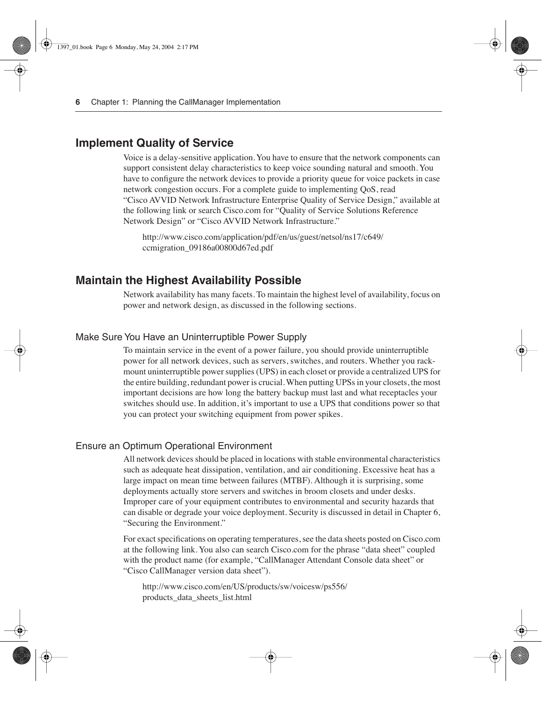#### **Implement Quality of Service**

Voice is a delay-sensitive application. You have to ensure that the network components can support consistent delay characteristics to keep voice sounding natural and smooth. You have to configure the network devices to provide a priority queue for voice packets in case network congestion occurs. For a complete guide to implementing QoS, read "Cisco AVVID Network Infrastructure Enterprise Quality of Service Design," available at the following link or search Cisco.com for "Quality of Service Solutions Reference Network Design" or "Cisco AVVID Network Infrastructure."

http://www.cisco.com/application/pdf/en/us/guest/netsol/ns17/c649/ ccmigration\_09186a00800d67ed.pdf

#### **Maintain the Highest Availability Possible**

Network availability has many facets. To maintain the highest level of availability, focus on power and network design, as discussed in the following sections.

#### Make Sure You Have an Uninterruptible Power Supply

To maintain service in the event of a power failure, you should provide uninterruptible power for all network devices, such as servers, switches, and routers. Whether you rackmount uninterruptible power supplies (UPS) in each closet or provide a centralized UPS for the entire building, redundant power is crucial. When putting UPSs in your closets, the most important decisions are how long the battery backup must last and what receptacles your switches should use. In addition, it's important to use a UPS that conditions power so that you can protect your switching equipment from power spikes.

#### Ensure an Optimum Operational Environment

All network devices should be placed in locations with stable environmental characteristics such as adequate heat dissipation, ventilation, and air conditioning. Excessive heat has a large impact on mean time between failures (MTBF). Although it is surprising, some deployments actually store servers and switches in broom closets and under desks. Improper care of your equipment contributes to environmental and security hazards that can disable or degrade your voice deployment. Security is discussed in detail in Chapter 6, "Securing the Environment."

For exact specifications on operating temperatures, see the data sheets posted on Cisco.com at the following link. You also can search Cisco.com for the phrase "data sheet" coupled with the product name (for example, "CallManager Attendant Console data sheet" or "Cisco CallManager version data sheet").

http://www.cisco.com/en/US/products/sw/voicesw/ps556/ products\_data\_sheets\_list.html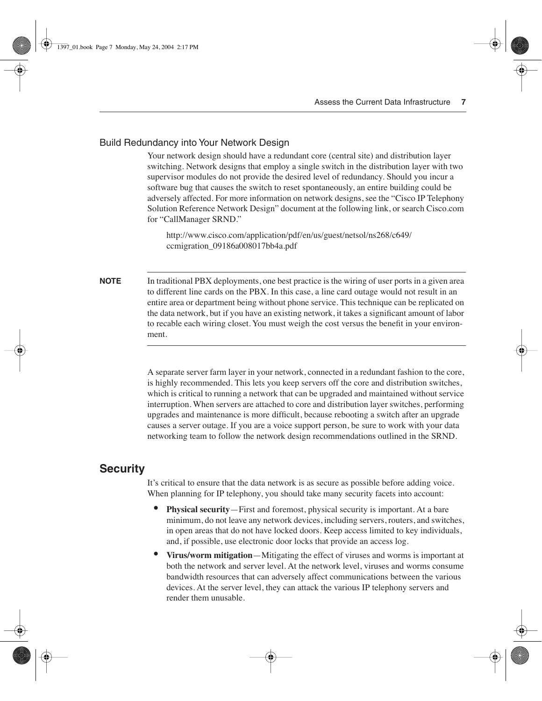#### Build Redundancy into Your Network Design

Your network design should have a redundant core (central site) and distribution layer switching. Network designs that employ a single switch in the distribution layer with two supervisor modules do not provide the desired level of redundancy. Should you incur a software bug that causes the switch to reset spontaneously, an entire building could be adversely affected. For more information on network designs, see the "Cisco IP Telephony Solution Reference Network Design" document at the following link, or search Cisco.com for "CallManager SRND."

http://www.cisco.com/application/pdf/en/us/guest/netsol/ns268/c649/ ccmigration\_09186a008017bb4a.pdf

**NOTE** In traditional PBX deployments, one best practice is the wiring of user ports in a given area to different line cards on the PBX. In this case, a line card outage would not result in an entire area or department being without phone service. This technique can be replicated on the data network, but if you have an existing network, it takes a significant amount of labor to recable each wiring closet. You must weigh the cost versus the benefit in your environment.

> A separate server farm layer in your network, connected in a redundant fashion to the core, is highly recommended. This lets you keep servers off the core and distribution switches, which is critical to running a network that can be upgraded and maintained without service interruption. When servers are attached to core and distribution layer switches, performing upgrades and maintenance is more difficult, because rebooting a switch after an upgrade causes a server outage. If you are a voice support person, be sure to work with your data networking team to follow the network design recommendations outlined in the SRND.

#### **Security**

It's critical to ensure that the data network is as secure as possible before adding voice. When planning for IP telephony, you should take many security facets into account:

- **Physical security**—First and foremost, physical security is important. At a bare minimum, do not leave any network devices, including servers, routers, and switches, in open areas that do not have locked doors. Keep access limited to key individuals, and, if possible, use electronic door locks that provide an access log.
- **Virus/worm mitigation**—Mitigating the effect of viruses and worms is important at both the network and server level. At the network level, viruses and worms consume bandwidth resources that can adversely affect communications between the various devices. At the server level, they can attack the various IP telephony servers and render them unusable.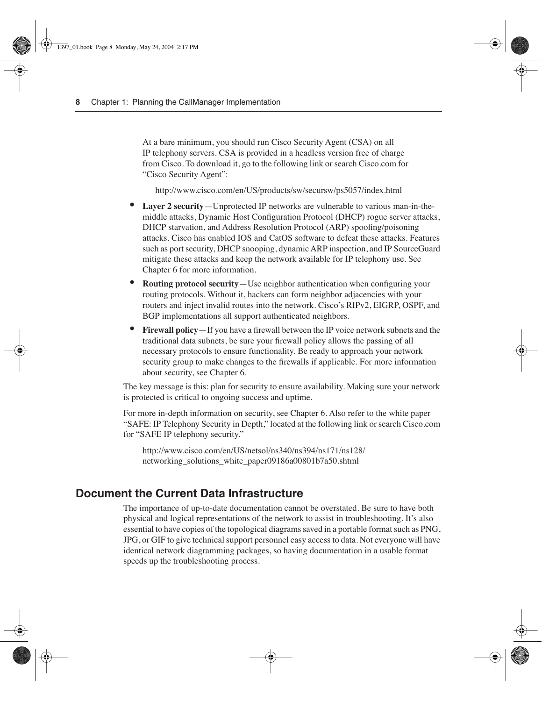At a bare minimum, you should run Cisco Security Agent (CSA) on all IP telephony servers. CSA is provided in a headless version free of charge from Cisco. To download it, go to the following link or search Cisco.com for "Cisco Security Agent":

http://www.cisco.com/en/US/products/sw/secursw/ps5057/index.html

- **Layer 2 security**—Unprotected IP networks are vulnerable to various man-in-themiddle attacks, Dynamic Host Configuration Protocol (DHCP) rogue server attacks, DHCP starvation, and Address Resolution Protocol (ARP) spoofing/poisoning attacks. Cisco has enabled IOS and CatOS software to defeat these attacks. Features such as port security, DHCP snooping, dynamic ARP inspection, and IP SourceGuard mitigate these attacks and keep the network available for IP telephony use. See Chapter 6 for more information.
- **Routing protocol security**—Use neighbor authentication when configuring your routing protocols. Without it, hackers can form neighbor adjacencies with your routers and inject invalid routes into the network. Cisco's RIPv2, EIGRP, OSPF, and BGP implementations all support authenticated neighbors.
- **Firewall policy**—If you have a firewall between the IP voice network subnets and the traditional data subnets, be sure your firewall policy allows the passing of all necessary protocols to ensure functionality. Be ready to approach your network security group to make changes to the firewalls if applicable. For more information about security, see Chapter 6.

The key message is this: plan for security to ensure availability. Making sure your network is protected is critical to ongoing success and uptime.

For more in-depth information on security, see Chapter 6. Also refer to the white paper "SAFE: IP Telephony Security in Depth," located at the following link or search Cisco.com for "SAFE IP telephony security."

http://www.cisco.com/en/US/netsol/ns340/ns394/ns171/ns128/ networking\_solutions\_white\_paper09186a00801b7a50.shtml

## **Document the Current Data Infrastructure**

The importance of up-to-date documentation cannot be overstated. Be sure to have both physical and logical representations of the network to assist in troubleshooting. It's also essential to have copies of the topological diagrams saved in a portable format such as PNG, JPG, or GIF to give technical support personnel easy access to data. Not everyone will have identical network diagramming packages, so having documentation in a usable format speeds up the troubleshooting process.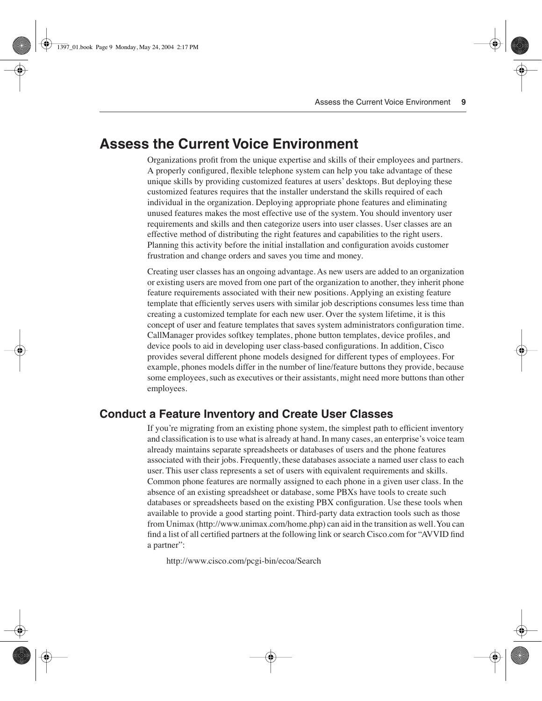# **Assess the Current Voice Environment**

Organizations profit from the unique expertise and skills of their employees and partners. A properly configured, flexible telephone system can help you take advantage of these unique skills by providing customized features at users' desktops. But deploying these customized features requires that the installer understand the skills required of each individual in the organization. Deploying appropriate phone features and eliminating unused features makes the most effective use of the system. You should inventory user requirements and skills and then categorize users into user classes. User classes are an effective method of distributing the right features and capabilities to the right users. Planning this activity before the initial installation and configuration avoids customer frustration and change orders and saves you time and money.

Creating user classes has an ongoing advantage. As new users are added to an organization or existing users are moved from one part of the organization to another, they inherit phone feature requirements associated with their new positions. Applying an existing feature template that efficiently serves users with similar job descriptions consumes less time than creating a customized template for each new user. Over the system lifetime, it is this concept of user and feature templates that saves system administrators configuration time. CallManager provides softkey templates, phone button templates, device profiles, and device pools to aid in developing user class-based configurations. In addition, Cisco provides several different phone models designed for different types of employees. For example, phones models differ in the number of line/feature buttons they provide, because some employees, such as executives or their assistants, might need more buttons than other employees.

## **Conduct a Feature Inventory and Create User Classes**

If you're migrating from an existing phone system, the simplest path to efficient inventory and classification is to use what is already at hand. In many cases, an enterprise's voice team already maintains separate spreadsheets or databases of users and the phone features associated with their jobs. Frequently, these databases associate a named user class to each user. This user class represents a set of users with equivalent requirements and skills. Common phone features are normally assigned to each phone in a given user class. In the absence of an existing spreadsheet or database, some PBXs have tools to create such databases or spreadsheets based on the existing PBX configuration. Use these tools when available to provide a good starting point. Third-party data extraction tools such as those from Unimax (http://www.unimax.com/home.php) can aid in the transition as well. You can find a list of all certified partners at the following link or search Cisco.com for "AVVID find a partner":

http://www.cisco.com/pcgi-bin/ecoa/Search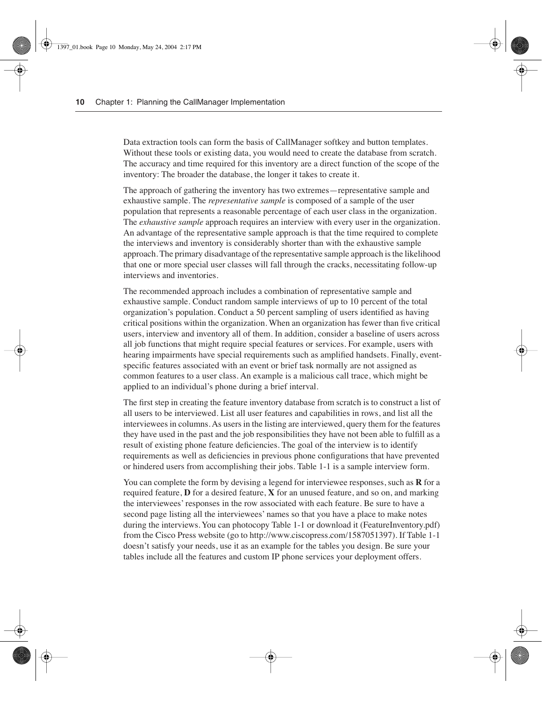Data extraction tools can form the basis of CallManager softkey and button templates. Without these tools or existing data, you would need to create the database from scratch. The accuracy and time required for this inventory are a direct function of the scope of the inventory: The broader the database, the longer it takes to create it.

The approach of gathering the inventory has two extremes—representative sample and exhaustive sample. The *representative sample* is composed of a sample of the user population that represents a reasonable percentage of each user class in the organization. The *exhaustive sample* approach requires an interview with every user in the organization. An advantage of the representative sample approach is that the time required to complete the interviews and inventory is considerably shorter than with the exhaustive sample approach. The primary disadvantage of the representative sample approach is the likelihood that one or more special user classes will fall through the cracks, necessitating follow-up interviews and inventories.

The recommended approach includes a combination of representative sample and exhaustive sample. Conduct random sample interviews of up to 10 percent of the total organization's population. Conduct a 50 percent sampling of users identified as having critical positions within the organization. When an organization has fewer than five critical users, interview and inventory all of them. In addition, consider a baseline of users across all job functions that might require special features or services. For example, users with hearing impairments have special requirements such as amplified handsets. Finally, eventspecific features associated with an event or brief task normally are not assigned as common features to a user class. An example is a malicious call trace, which might be applied to an individual's phone during a brief interval.

The first step in creating the feature inventory database from scratch is to construct a list of all users to be interviewed. List all user features and capabilities in rows, and list all the interviewees in columns. As users in the listing are interviewed, query them for the features they have used in the past and the job responsibilities they have not been able to fulfill as a result of existing phone feature deficiencies. The goal of the interview is to identify requirements as well as deficiencies in previous phone configurations that have prevented or hindered users from accomplishing their jobs. Table 1-1 is a sample interview form.

You can complete the form by devising a legend for interviewee responses, such as **R** for a required feature, **D** for a desired feature, **X** for an unused feature, and so on, and marking the interviewees' responses in the row associated with each feature. Be sure to have a second page listing all the interviewees' names so that you have a place to make notes during the interviews. You can photocopy Table 1-1 or download it (FeatureInventory.pdf) from the Cisco Press website (go to http://www.ciscopress.com/1587051397). If Table 1-1 doesn't satisfy your needs, use it as an example for the tables you design. Be sure your tables include all the features and custom IP phone services your deployment offers.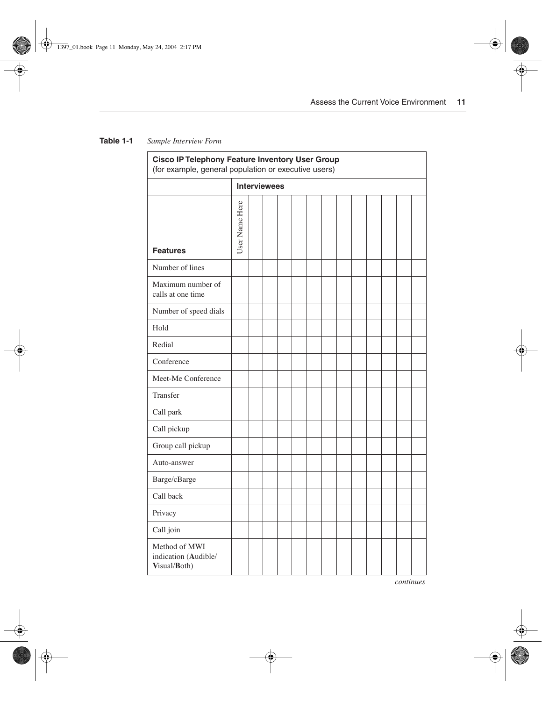#### **Table 1-1** *Sample Interview Form*

| <b>Cisco IP Telephony Feature Inventory User Group</b><br>(for example, general population or executive users) |                |                     |  |  |  |  |  |  |
|----------------------------------------------------------------------------------------------------------------|----------------|---------------------|--|--|--|--|--|--|
|                                                                                                                |                | <b>Interviewees</b> |  |  |  |  |  |  |
| <b>Features</b>                                                                                                | User Name Here |                     |  |  |  |  |  |  |
| Number of lines                                                                                                |                |                     |  |  |  |  |  |  |
| Maximum number of<br>calls at one time                                                                         |                |                     |  |  |  |  |  |  |
| Number of speed dials                                                                                          |                |                     |  |  |  |  |  |  |
| Hold                                                                                                           |                |                     |  |  |  |  |  |  |
| Redial                                                                                                         |                |                     |  |  |  |  |  |  |
| Conference                                                                                                     |                |                     |  |  |  |  |  |  |
| Meet-Me Conference                                                                                             |                |                     |  |  |  |  |  |  |
| Transfer                                                                                                       |                |                     |  |  |  |  |  |  |
| Call park                                                                                                      |                |                     |  |  |  |  |  |  |
| Call pickup                                                                                                    |                |                     |  |  |  |  |  |  |
| Group call pickup                                                                                              |                |                     |  |  |  |  |  |  |
| Auto-answer                                                                                                    |                |                     |  |  |  |  |  |  |
| Barge/cBarge                                                                                                   |                |                     |  |  |  |  |  |  |
| Call back                                                                                                      |                |                     |  |  |  |  |  |  |
| Privacy                                                                                                        |                |                     |  |  |  |  |  |  |
| Call join                                                                                                      |                |                     |  |  |  |  |  |  |
| Method of MWI<br>indication (Audible/<br>Visual/Both)                                                          |                |                     |  |  |  |  |  |  |

*continues*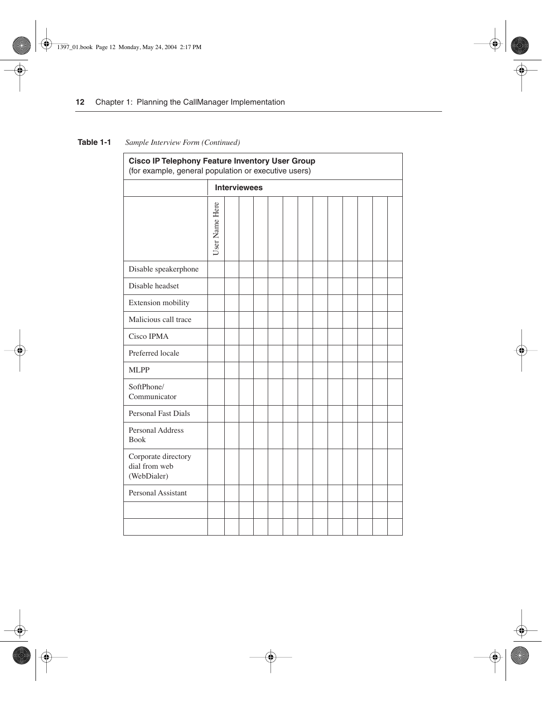| <b>Cisco IP Telephony Feature Inventory User Group</b><br>(for example, general population or executive users) |                |                     |  |  |  |  |  |  |
|----------------------------------------------------------------------------------------------------------------|----------------|---------------------|--|--|--|--|--|--|
|                                                                                                                |                | <b>Interviewees</b> |  |  |  |  |  |  |
|                                                                                                                | User Name Here |                     |  |  |  |  |  |  |
| Disable speakerphone                                                                                           |                |                     |  |  |  |  |  |  |
| Disable headset                                                                                                |                |                     |  |  |  |  |  |  |
| Extension mobility                                                                                             |                |                     |  |  |  |  |  |  |
| Malicious call trace                                                                                           |                |                     |  |  |  |  |  |  |
| Cisco IPMA                                                                                                     |                |                     |  |  |  |  |  |  |
| Preferred locale                                                                                               |                |                     |  |  |  |  |  |  |
| <b>MLPP</b>                                                                                                    |                |                     |  |  |  |  |  |  |
| SoftPhone/<br>Communicator                                                                                     |                |                     |  |  |  |  |  |  |
| Personal Fast Dials                                                                                            |                |                     |  |  |  |  |  |  |
| <b>Personal Address</b><br><b>Book</b>                                                                         |                |                     |  |  |  |  |  |  |
| Corporate directory<br>dial from web<br>(WebDialer)                                                            |                |                     |  |  |  |  |  |  |
| Personal Assistant                                                                                             |                |                     |  |  |  |  |  |  |
|                                                                                                                |                |                     |  |  |  |  |  |  |
|                                                                                                                |                |                     |  |  |  |  |  |  |

#### **Table 1-1** *Sample Interview Form (Continued)*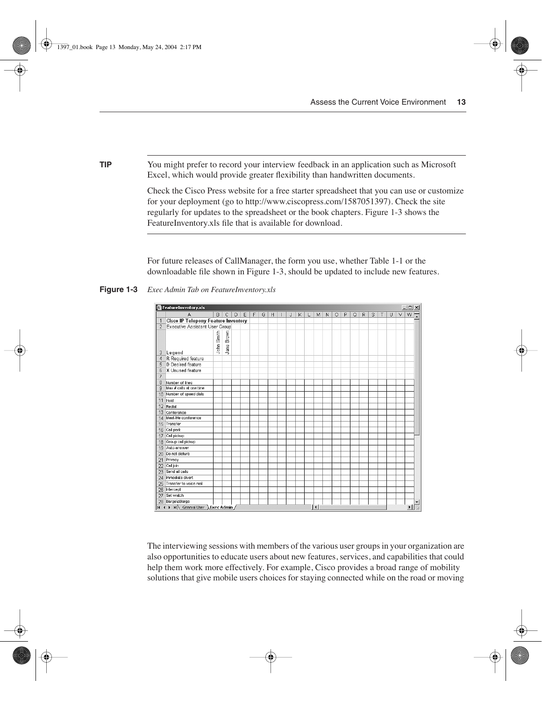**TIP** You might prefer to record your interview feedback in an application such as Microsoft Excel, which would provide greater flexibility than handwritten documents.

> Check the Cisco Press website for a free starter spreadsheet that you can use or customize for your deployment (go to http://www.ciscopress.com/1587051397). Check the site regularly for updates to the spreadsheet or the book chapters. Figure 1-3 shows the FeatureInventory.xls file that is available for download.

For future releases of CallManager, the form you use, whether Table 1-1 or the downloadable file shown in Figure 1-3, should be updated to include new features.



**Figure 1-3** *Exec Admin Tab on FeatureInventory.xls*

The interviewing sessions with members of the various user groups in your organization are also opportunities to educate users about new features, services, and capabilities that could help them work more effectively. For example, Cisco provides a broad range of mobility solutions that give mobile users choices for staying connected while on the road or moving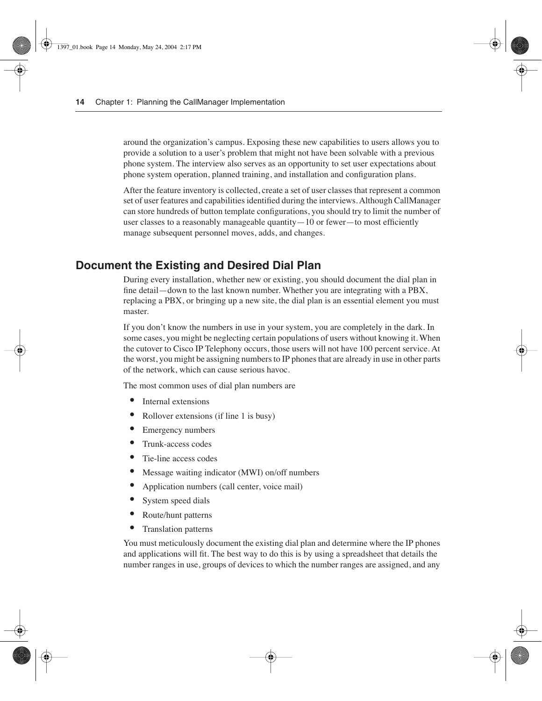around the organization's campus. Exposing these new capabilities to users allows you to provide a solution to a user's problem that might not have been solvable with a previous phone system. The interview also serves as an opportunity to set user expectations about phone system operation, planned training, and installation and configuration plans.

After the feature inventory is collected, create a set of user classes that represent a common set of user features and capabilities identified during the interviews. Although CallManager can store hundreds of button template configurations, you should try to limit the number of user classes to a reasonably manageable quantity—10 or fewer—to most efficiently manage subsequent personnel moves, adds, and changes.

### **Document the Existing and Desired Dial Plan**

During every installation, whether new or existing, you should document the dial plan in fine detail—down to the last known number. Whether you are integrating with a PBX, replacing a PBX, or bringing up a new site, the dial plan is an essential element you must master.

If you don't know the numbers in use in your system, you are completely in the dark. In some cases, you might be neglecting certain populations of users without knowing it. When the cutover to Cisco IP Telephony occurs, those users will not have 100 percent service. At the worst, you might be assigning numbers to IP phones that are already in use in other parts of the network, which can cause serious havoc.

The most common uses of dial plan numbers are

- Internal extensions
- Rollover extensions (if line 1 is busy)
- Emergency numbers
- Trunk-access codes
- Tie-line access codes
- Message waiting indicator (MWI) on/off numbers
- Application numbers (call center, voice mail)
- System speed dials
- Route/hunt patterns
- Translation patterns

You must meticulously document the existing dial plan and determine where the IP phones and applications will fit. The best way to do this is by using a spreadsheet that details the number ranges in use, groups of devices to which the number ranges are assigned, and any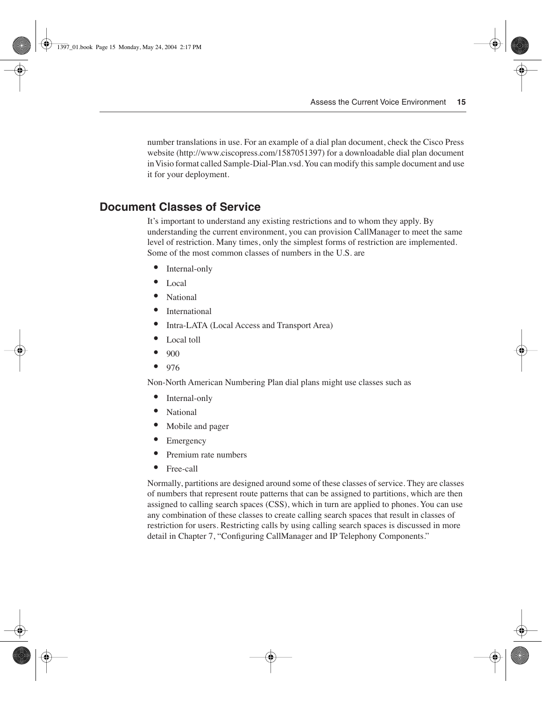number translations in use. For an example of a dial plan document, check the Cisco Press website (http://www.ciscopress.com/1587051397) for a downloadable dial plan document in Visio format called Sample-Dial-Plan.vsd. You can modify this sample document and use it for your deployment.

#### **Document Classes of Service**

It's important to understand any existing restrictions and to whom they apply. By understanding the current environment, you can provision CallManager to meet the same level of restriction. Many times, only the simplest forms of restriction are implemented. Some of the most common classes of numbers in the U.S. are

- Internal-only
- Local
- National
- **International**
- Intra-LATA (Local Access and Transport Area)
- Local toll
- <sup>900</sup>
- <sup>976</sup>

Non-North American Numbering Plan dial plans might use classes such as

- Internal-only
- National
- Mobile and pager
- **Emergency**
- Premium rate numbers
- Free-call

Normally, partitions are designed around some of these classes of service. They are classes of numbers that represent route patterns that can be assigned to partitions, which are then assigned to calling search spaces (CSS), which in turn are applied to phones. You can use any combination of these classes to create calling search spaces that result in classes of restriction for users. Restricting calls by using calling search spaces is discussed in more detail in Chapter 7, "Configuring CallManager and IP Telephony Components."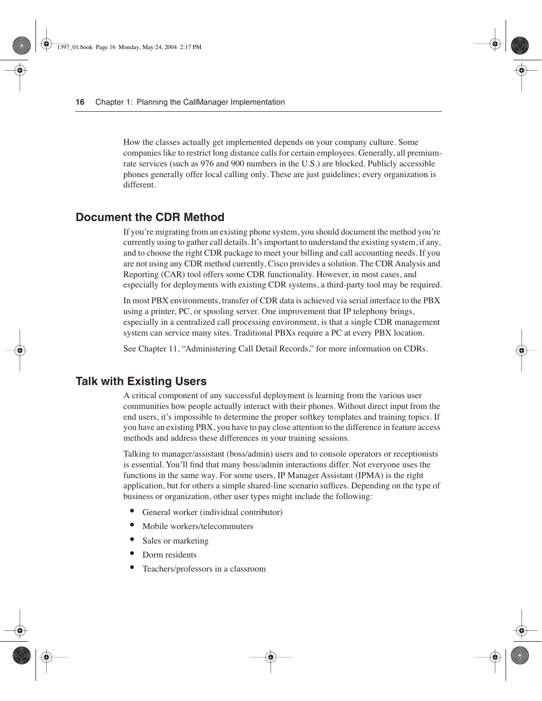How the classes actually get implemented depends on your company culture. Some companies like to restrict long distance calls for certain employees. Generally, all premiumrate services (such as 976 and 900 numbers in the U.S.) are blocked. Publicly accessible phones generally offer local calling only. These are just guidelines; every organization is different.

### **Document the CDR Method**

If you're migrating from an existing phone system, you should document the method you're currently using to gather call details. It's important to understand the existing system, if any, and to choose the right CDR package to meet your billing and call accounting needs. If you are not using any CDR method currently, Cisco provides a solution. The CDR Analysis and Reporting (CAR) tool offers some CDR functionality. However, in most cases, and especially for deployments with existing CDR systems, a third-party tool may be required.

In most PBX environments, transfer of CDR data is achieved via serial interface to the PBX using a printer, PC, or spooling server. One improvement that IP telephony brings, especially in a centralized call processing environment, is that a single CDR management system can service many sites. Traditional PBXs require a PC at every PBX location.

See Chapter 11, "Administering Call Detail Records," for more information on CDRs.

## **Talk with Existing Users**

A critical component of any successful deployment is learning from the various user communities how people actually interact with their phones. Without direct input from the end users, it's impossible to determine the proper softkey templates and training topics. If you have an existing PBX, you have to pay close attention to the difference in feature access methods and address these differences in your training sessions.

Talking to manager/assistant (boss/admin) users and to console operators or receptionists is essential. You'll find that many boss/admin interactions differ. Not everyone uses the functions in the same way. For some users, IP Manager Assistant (IPMA) is the right application, but for others a simple shared-line scenario suffices. Depending on the type of business or organization, other user types might include the following:

- General worker (individual contributor)
- Mobile workers/telecommuters
- Sales or marketing
- Dorm residents
- Teachers/professors in a classroom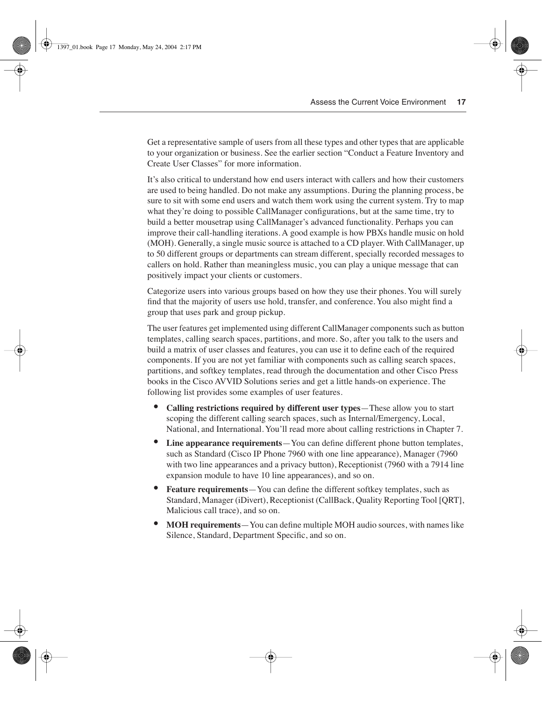Get a representative sample of users from all these types and other types that are applicable to your organization or business. See the earlier section "Conduct a Feature Inventory and Create User Classes" for more information.

It's also critical to understand how end users interact with callers and how their customers are used to being handled. Do not make any assumptions. During the planning process, be sure to sit with some end users and watch them work using the current system. Try to map what they're doing to possible CallManager configurations, but at the same time, try to build a better mousetrap using CallManager's advanced functionality. Perhaps you can improve their call-handling iterations. A good example is how PBXs handle music on hold (MOH). Generally, a single music source is attached to a CD player. With CallManager, up to 50 different groups or departments can stream different, specially recorded messages to callers on hold. Rather than meaningless music, you can play a unique message that can positively impact your clients or customers.

Categorize users into various groups based on how they use their phones. You will surely find that the majority of users use hold, transfer, and conference. You also might find a group that uses park and group pickup.

The user features get implemented using different CallManager components such as button templates, calling search spaces, partitions, and more. So, after you talk to the users and build a matrix of user classes and features, you can use it to define each of the required components. If you are not yet familiar with components such as calling search spaces, partitions, and softkey templates, read through the documentation and other Cisco Press books in the Cisco AVVID Solutions series and get a little hands-on experience. The following list provides some examples of user features.

- **Calling restrictions required by different user types**—These allow you to start scoping the different calling search spaces, such as Internal/Emergency, Local, National, and International. You'll read more about calling restrictions in Chapter 7.
- **Line appearance requirements**—You can define different phone button templates, such as Standard (Cisco IP Phone 7960 with one line appearance), Manager (7960 with two line appearances and a privacy button), Receptionist (7960 with a 7914 line expansion module to have 10 line appearances), and so on.
- **Feature requirements**—You can define the different softkey templates, such as Standard, Manager (iDivert), Receptionist (CallBack, Quality Reporting Tool [QRT], Malicious call trace), and so on.
- **MOH requirements**—You can define multiple MOH audio sources, with names like Silence, Standard, Department Specific, and so on.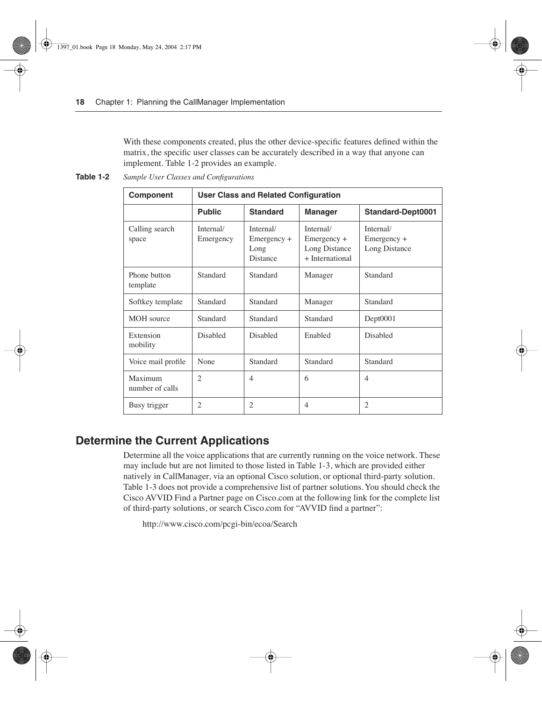With these components created, plus the other device-specific features defined within the matrix, the specific user classes can be accurately described in a way that anyone can implement. Table 1-2 provides an example.

| <b>Component</b>           |                        | <b>User Class and Related Configuration</b>     |                                                                 |                                              |
|----------------------------|------------------------|-------------------------------------------------|-----------------------------------------------------------------|----------------------------------------------|
|                            | <b>Public</b>          | <b>Standard</b>                                 | <b>Manager</b>                                                  | Standard-Dept0001                            |
| Calling search<br>space    | Internal/<br>Emergency | Internal/<br>$E$ mergency +<br>Long<br>Distance | Internal/<br>$E$ mergency +<br>Long Distance<br>+ International | Internal/<br>$E$ mergency +<br>Long Distance |
| Phone button<br>template   | Standard               | Standard                                        | Manager                                                         | Standard                                     |
| Softkey template           | Standard               | Standard                                        | Manager                                                         | Standard                                     |
| <b>MOH</b> source          | Standard               | Standard                                        | Standard                                                        | Dept0001                                     |
| Extension<br>mobility      | Disabled               | <b>Disabled</b>                                 | Enabled                                                         | Disabled                                     |
| Voice mail profile         | None                   | Standard                                        | Standard                                                        | Standard                                     |
| Maximum<br>number of calls | $\overline{2}$         | $\overline{4}$                                  | 6                                                               | $\overline{4}$                               |
| Busy trigger               | $\overline{2}$         | $\overline{2}$                                  | $\overline{4}$                                                  | $\overline{2}$                               |

## **Determine the Current Applications**

Determine all the voice applications that are currently running on the voice network. These may include but are not limited to those listed in Table 1-3, which are provided either natively in CallManager, via an optional Cisco solution, or optional third-party solution. Table 1-3 does not provide a comprehensive list of partner solutions. You should check the Cisco AVVID Find a Partner page on Cisco.com at the following link for the complete list of third-party solutions, or search Cisco.com for "AVVID find a partner":

http://www.cisco.com/pcgi-bin/ecoa/Search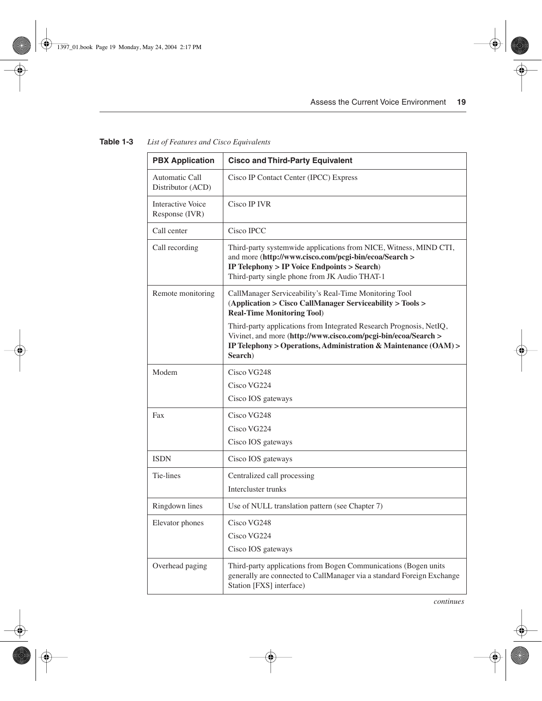| <b>PBX Application</b>                     | <b>Cisco and Third-Party Equivalent</b>                                                                                                                                                                                                 |
|--------------------------------------------|-----------------------------------------------------------------------------------------------------------------------------------------------------------------------------------------------------------------------------------------|
| Automatic Call<br>Distributor (ACD)        | Cisco IP Contact Center (IPCC) Express                                                                                                                                                                                                  |
| <b>Interactive Voice</b><br>Response (IVR) | Cisco IP IVR                                                                                                                                                                                                                            |
| Call center                                | Cisco IPCC                                                                                                                                                                                                                              |
| Call recording                             | Third-party systemwide applications from NICE, Witness, MIND CTI,<br>and more (http://www.cisco.com/pcgi-bin/ecoa/Search ><br><b>IP Telephony &gt; IP Voice Endpoints &gt; Search)</b><br>Third-party single phone from JK Audio THAT-1 |
| Remote monitoring                          | CallManager Serviceability's Real-Time Monitoring Tool<br>(Application > Cisco CallManager Serviceability > Tools ><br><b>Real-Time Monitoring Tool)</b>                                                                                |
|                                            | Third-party applications from Integrated Research Prognosis, NetIQ,<br>Vivinet, and more (http://www.cisco.com/pcgi-bin/ecoa/Search ><br>IP Telephony > Operations, Administration & Maintenance (OAM) ><br>Search)                     |
| Modem                                      | Cisco VG248                                                                                                                                                                                                                             |
|                                            | Cisco VG224                                                                                                                                                                                                                             |
|                                            | Cisco IOS gateways                                                                                                                                                                                                                      |
| Fax                                        | Cisco VG248                                                                                                                                                                                                                             |
|                                            | Cisco VG224                                                                                                                                                                                                                             |
|                                            | Cisco IOS gateways                                                                                                                                                                                                                      |
| <b>ISDN</b>                                | Cisco IOS gateways                                                                                                                                                                                                                      |
| Tie-lines                                  | Centralized call processing                                                                                                                                                                                                             |
|                                            | Intercluster trunks                                                                                                                                                                                                                     |
| Ringdown lines                             | Use of NULL translation pattern (see Chapter 7)                                                                                                                                                                                         |
| Elevator phones                            | Cisco VG248                                                                                                                                                                                                                             |
|                                            | Cisco VG224                                                                                                                                                                                                                             |
|                                            | Cisco IOS gateways                                                                                                                                                                                                                      |
| Overhead paging                            | Third-party applications from Bogen Communications (Bogen units<br>generally are connected to CallManager via a standard Foreign Exchange<br>Station [FXS] interface)                                                                   |

**Table 1-3** *List of Features and Cisco Equivalents*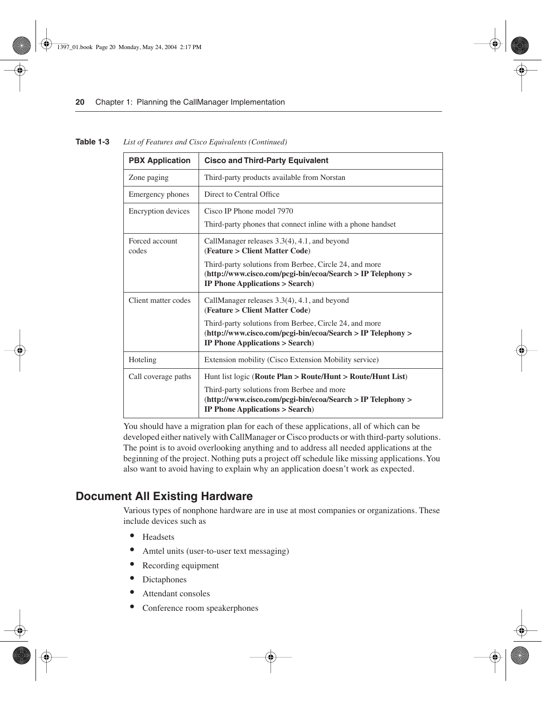| <b>PBX Application</b>  | <b>Cisco and Third-Party Equivalent</b>                                                                                                                            |
|-------------------------|--------------------------------------------------------------------------------------------------------------------------------------------------------------------|
| Zone paging             | Third-party products available from Norstan                                                                                                                        |
| Emergency phones        | Direct to Central Office                                                                                                                                           |
| Encryption devices      | Cisco IP Phone model 7970                                                                                                                                          |
|                         | Third-party phones that connect inline with a phone handset                                                                                                        |
| Forced account<br>codes | CallManager releases 3.3(4), 4.1, and beyond<br>(Feature > Client Matter Code)                                                                                     |
|                         | Third-party solutions from Berbee, Circle 24, and more<br>(http://www.cisco.com/pcgi-bin/ecoa/Search > IP Telephony ><br><b>IP Phone Applications &gt; Search)</b> |
| Client matter codes     | CallManager releases 3.3(4), 4.1, and beyond<br>(Feature > Client Matter Code)                                                                                     |
|                         | Third-party solutions from Berbee, Circle 24, and more<br>(http://www.cisco.com/pcgi-bin/ecoa/Search > IP Telephony ><br><b>IP Phone Applications &gt; Search)</b> |
| Hoteling                | Extension mobility (Cisco Extension Mobility service)                                                                                                              |
| Call coverage paths     | Hunt list logic (Route Plan > Route/Hunt > Route/Hunt List)                                                                                                        |
|                         | Third-party solutions from Berbee and more<br>(http://www.cisco.com/pcgi-bin/ecoa/Search > IP Telephony ><br><b>IP Phone Applications &gt; Search)</b>             |

**Table 1-3** *List of Features and Cisco Equivalents (Continued)*

You should have a migration plan for each of these applications, all of which can be developed either natively with CallManager or Cisco products or with third-party solutions. The point is to avoid overlooking anything and to address all needed applications at the beginning of the project. Nothing puts a project off schedule like missing applications. You also want to avoid having to explain why an application doesn't work as expected.

## **Document All Existing Hardware**

Various types of nonphone hardware are in use at most companies or organizations. These include devices such as

- Headsets
- Amtel units (user-to-user text messaging)
- Recording equipment
- Dictaphones
- Attendant consoles
- Conference room speakerphones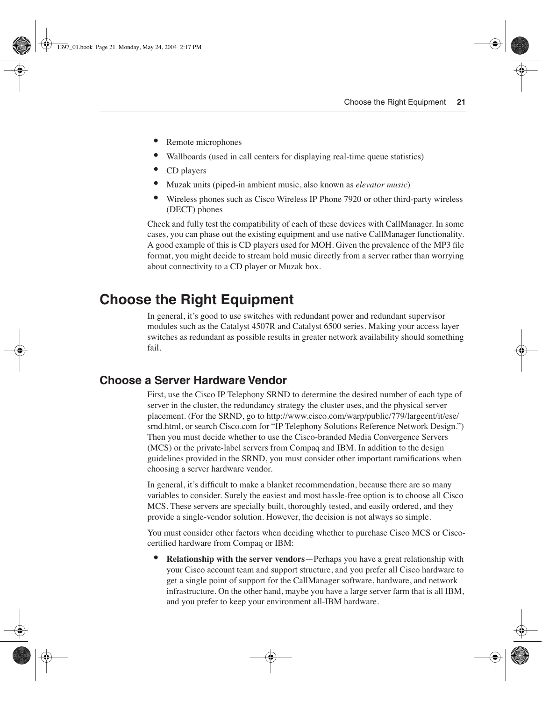- Remote microphones
- Wallboards (used in call centers for displaying real-time queue statistics)
- CD players
- Muzak units (piped-in ambient music, also known as *elevator music*)
- Wireless phones such as Cisco Wireless IP Phone 7920 or other third-party wireless (DECT) phones

Check and fully test the compatibility of each of these devices with CallManager. In some cases, you can phase out the existing equipment and use native CallManager functionality. A good example of this is CD players used for MOH. Given the prevalence of the MP3 file format, you might decide to stream hold music directly from a server rather than worrying about connectivity to a CD player or Muzak box.

## **Choose the Right Equipment**

In general, it's good to use switches with redundant power and redundant supervisor modules such as the Catalyst 4507R and Catalyst 6500 series. Making your access layer switches as redundant as possible results in greater network availability should something fail.

#### **Choose a Server Hardware Vendor**

First, use the Cisco IP Telephony SRND to determine the desired number of each type of server in the cluster, the redundancy strategy the cluster uses, and the physical server placement. (For the SRND, go to http://www.cisco.com/warp/public/779/largeent/it/ese/ srnd.html, or search Cisco.com for "IP Telephony Solutions Reference Network Design.") Then you must decide whether to use the Cisco-branded Media Convergence Servers (MCS) or the private-label servers from Compaq and IBM. In addition to the design guidelines provided in the SRND, you must consider other important ramifications when choosing a server hardware vendor.

In general, it's difficult to make a blanket recommendation, because there are so many variables to consider. Surely the easiest and most hassle-free option is to choose all Cisco MCS. These servers are specially built, thoroughly tested, and easily ordered, and they provide a single-vendor solution. However, the decision is not always so simple.

You must consider other factors when deciding whether to purchase Cisco MCS or Ciscocertified hardware from Compaq or IBM:

• **Relationship with the server vendors**—Perhaps you have a great relationship with your Cisco account team and support structure, and you prefer all Cisco hardware to get a single point of support for the CallManager software, hardware, and network infrastructure. On the other hand, maybe you have a large server farm that is all IBM, and you prefer to keep your environment all-IBM hardware.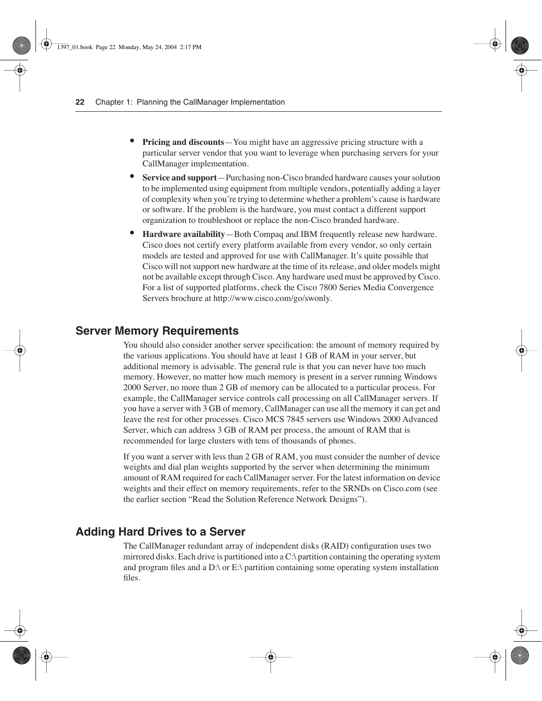- **Pricing and discounts**—You might have an aggressive pricing structure with a particular server vendor that you want to leverage when purchasing servers for your CallManager implementation.
- **Service and support**—Purchasing non-Cisco branded hardware causes your solution to be implemented using equipment from multiple vendors, potentially adding a layer of complexity when you're trying to determine whether a problem's cause is hardware or software. If the problem is the hardware, you must contact a different support organization to troubleshoot or replace the non-Cisco branded hardware.
- **Hardware availability**—Both Compaq and IBM frequently release new hardware. Cisco does not certify every platform available from every vendor, so only certain models are tested and approved for use with CallManager. It's quite possible that Cisco will not support new hardware at the time of its release, and older models might not be available except through Cisco. Any hardware used must be approved by Cisco. For a list of supported platforms, check the Cisco 7800 Series Media Convergence Servers brochure at http://www.cisco.com/go/swonly.

## **Server Memory Requirements**

You should also consider another server specification: the amount of memory required by the various applications. You should have at least 1 GB of RAM in your server, but additional memory is advisable. The general rule is that you can never have too much memory. However, no matter how much memory is present in a server running Windows 2000 Server, no more than 2 GB of memory can be allocated to a particular process. For example, the CallManager service controls call processing on all CallManager servers. If you have a server with 3 GB of memory, CallManager can use all the memory it can get and leave the rest for other processes. Cisco MCS 7845 servers use Windows 2000 Advanced Server, which can address 3 GB of RAM per process, the amount of RAM that is recommended for large clusters with tens of thousands of phones.

If you want a server with less than 2 GB of RAM, you must consider the number of device weights and dial plan weights supported by the server when determining the minimum amount of RAM required for each CallManager server. For the latest information on device weights and their effect on memory requirements, refer to the SRNDs on Cisco.com (see the earlier section "Read the Solution Reference Network Designs").

## **Adding Hard Drives to a Server**

The CallManager redundant array of independent disks (RAID) configuration uses two mirrored disks. Each drive is partitioned into a  $C:\$  partition containing the operating system and program files and a D: $\or$  E: $\prime$  partition containing some operating system installation files.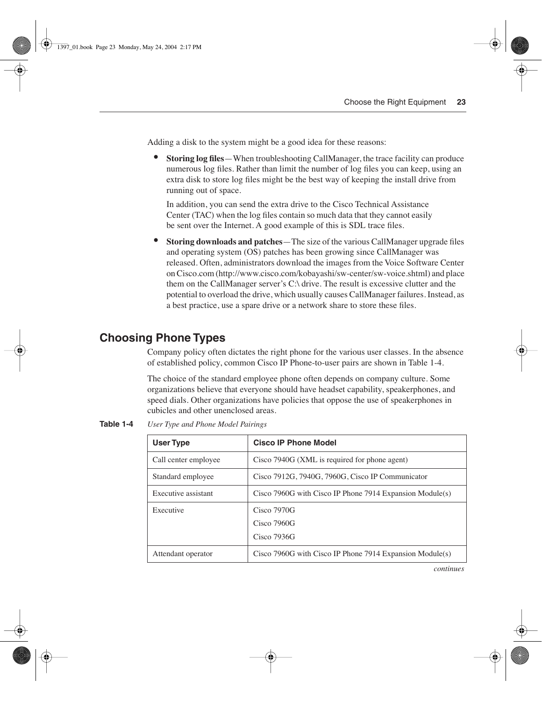Adding a disk to the system might be a good idea for these reasons:

• **Storing log files**—When troubleshooting CallManager, the trace facility can produce numerous log files. Rather than limit the number of log files you can keep, using an extra disk to store log files might be the best way of keeping the install drive from running out of space.

In addition, you can send the extra drive to the Cisco Technical Assistance Center (TAC) when the log files contain so much data that they cannot easily be sent over the Internet. A good example of this is SDL trace files.

• **Storing downloads and patches**—The size of the various CallManager upgrade files and operating system (OS) patches has been growing since CallManager was released. Often, administrators download the images from the Voice Software Center on Cisco.com (http://www.cisco.com/kobayashi/sw-center/sw-voice.shtml) and place them on the CallManager server's C:\ drive. The result is excessive clutter and the potential to overload the drive, which usually causes CallManager failures. Instead, as a best practice, use a spare drive or a network share to store these files.

## **Choosing Phone Types**

Company policy often dictates the right phone for the various user classes. In the absence of established policy, common Cisco IP Phone-to-user pairs are shown in Table 1-4.

The choice of the standard employee phone often depends on company culture. Some organizations believe that everyone should have headset capability, speakerphones, and speed dials. Other organizations have policies that oppose the use of speakerphones in cubicles and other unenclosed areas.

| User Type            | <b>Cisco IP Phone Model</b>                              |
|----------------------|----------------------------------------------------------|
| Call center employee | Cisco 7940G (XML is required for phone agent)            |
| Standard employee    | Cisco 7912G, 7940G, 7960G, Cisco IP Communicator         |
| Executive assistant  | Cisco 7960G with Cisco IP Phone 7914 Expansion Module(s) |
| Executive            | Cisco 7970G                                              |
|                      | Cisco 7960G                                              |
|                      | Cisco 7936G                                              |
| Attendant operator   | Cisco 7960G with Cisco IP Phone 7914 Expansion Module(s) |

**Table 1-4** *User Type and Phone Model Pairings* 

*continues*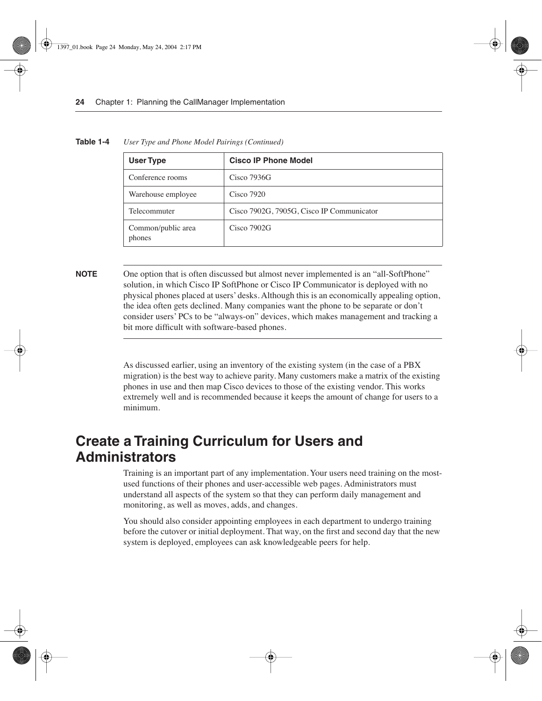| User Type                    | <b>Cisco IP Phone Model</b>               |
|------------------------------|-------------------------------------------|
| Conference rooms             | Cisco 7936G                               |
| Warehouse employee           | Cisco 7920                                |
| Telecommuter                 | Cisco 7902G, 7905G, Cisco IP Communicator |
| Common/public area<br>phones | Cisco 7902G                               |

**Table 1-4** *User Type and Phone Model Pairings (Continued)*

**NOTE** One option that is often discussed but almost never implemented is an "all-SoftPhone" solution, in which Cisco IP SoftPhone or Cisco IP Communicator is deployed with no physical phones placed at users' desks. Although this is an economically appealing option, the idea often gets declined. Many companies want the phone to be separate or don't consider users' PCs to be "always-on" devices, which makes management and tracking a bit more difficult with software-based phones.

> As discussed earlier, using an inventory of the existing system (in the case of a PBX migration) is the best way to achieve parity. Many customers make a matrix of the existing phones in use and then map Cisco devices to those of the existing vendor. This works extremely well and is recommended because it keeps the amount of change for users to a minimum.

# **Create a Training Curriculum for Users and Administrators**

Training is an important part of any implementation. Your users need training on the mostused functions of their phones and user-accessible web pages. Administrators must understand all aspects of the system so that they can perform daily management and monitoring, as well as moves, adds, and changes.

You should also consider appointing employees in each department to undergo training before the cutover or initial deployment. That way, on the first and second day that the new system is deployed, employees can ask knowledgeable peers for help.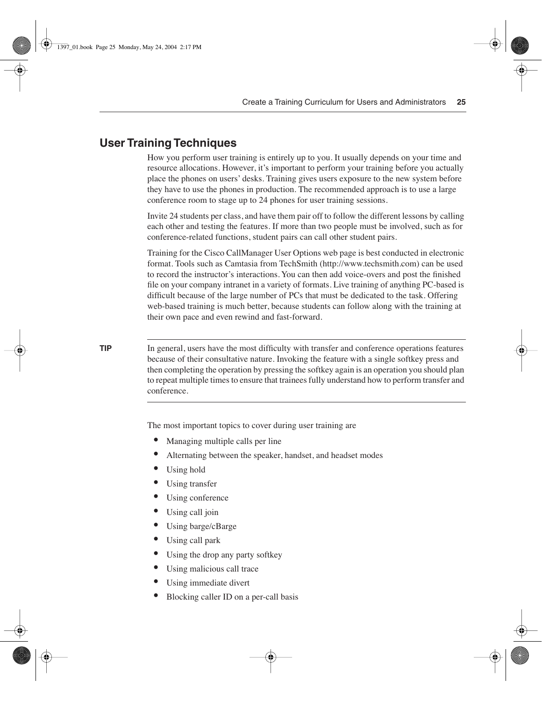## **User Training Techniques**

How you perform user training is entirely up to you. It usually depends on your time and resource allocations. However, it's important to perform your training before you actually place the phones on users' desks. Training gives users exposure to the new system before they have to use the phones in production. The recommended approach is to use a large conference room to stage up to 24 phones for user training sessions.

Invite 24 students per class, and have them pair off to follow the different lessons by calling each other and testing the features. If more than two people must be involved, such as for conference-related functions, student pairs can call other student pairs.

Training for the Cisco CallManager User Options web page is best conducted in electronic format. Tools such as Camtasia from TechSmith (http://www.techsmith.com) can be used to record the instructor's interactions. You can then add voice-overs and post the finished file on your company intranet in a variety of formats. Live training of anything PC-based is difficult because of the large number of PCs that must be dedicated to the task. Offering web-based training is much better, because students can follow along with the training at their own pace and even rewind and fast-forward.

**TIP** In general, users have the most difficulty with transfer and conference operations features because of their consultative nature. Invoking the feature with a single softkey press and then completing the operation by pressing the softkey again is an operation you should plan to repeat multiple times to ensure that trainees fully understand how to perform transfer and conference.

The most important topics to cover during user training are

- Managing multiple calls per line
- Alternating between the speaker, handset, and headset modes
- Using hold
- Using transfer
- Using conference
- Using call join
- Using barge/cBarge
- Using call park
- Using the drop any party softkey
- Using malicious call trace
- Using immediate divert
- Blocking caller ID on a per-call basis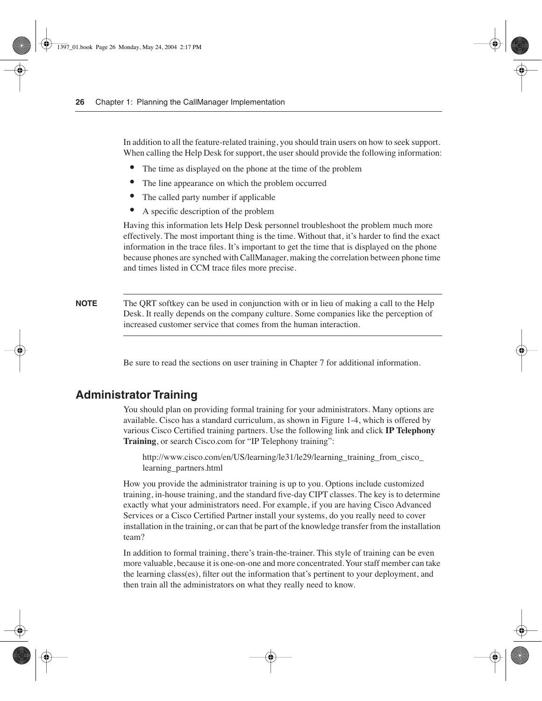In addition to all the feature-related training, you should train users on how to seek support. When calling the Help Desk for support, the user should provide the following information:

- The time as displayed on the phone at the time of the problem
- The line appearance on which the problem occurred
- The called party number if applicable
- A specific description of the problem

Having this information lets Help Desk personnel troubleshoot the problem much more effectively. The most important thing is the time. Without that, it's harder to find the exact information in the trace files. It's important to get the time that is displayed on the phone because phones are synched with CallManager, making the correlation between phone time and times listed in CCM trace files more precise.

**NOTE** The QRT softkey can be used in conjunction with or in lieu of making a call to the Help Desk. It really depends on the company culture. Some companies like the perception of increased customer service that comes from the human interaction.

Be sure to read the sections on user training in Chapter 7 for additional information.

## **Administrator Training**

You should plan on providing formal training for your administrators. Many options are available. Cisco has a standard curriculum, as shown in Figure 1-4, which is offered by various Cisco Certified training partners. Use the following link and click **IP Telephony Training**, or search Cisco.com for "IP Telephony training":

http://www.cisco.com/en/US/learning/le31/le29/learning training from cisco learning\_partners.html

How you provide the administrator training is up to you. Options include customized training, in-house training, and the standard five-day CIPT classes. The key is to determine exactly what your administrators need. For example, if you are having Cisco Advanced Services or a Cisco Certified Partner install your systems, do you really need to cover installation in the training, or can that be part of the knowledge transfer from the installation team?

In addition to formal training, there's train-the-trainer. This style of training can be even more valuable, because it is one-on-one and more concentrated. Your staff member can take the learning class(es), filter out the information that's pertinent to your deployment, and then train all the administrators on what they really need to know.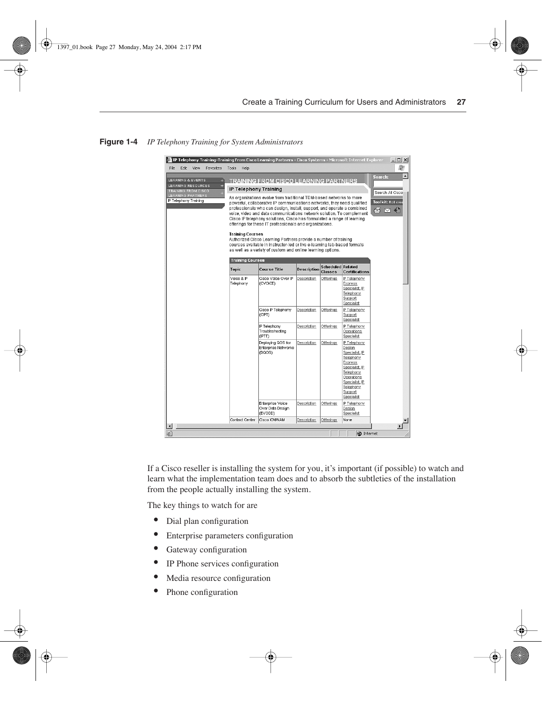**Figure 1-4** *IP Telephony Training for System Administrators*

|                                                                |                              | IP Telephony Training-Training From Cisco Learning Partners - Cisco Systems - Microsoft Internet Explorer                                                                                                                                                                                                                                                                                                                                                                                                                                                                            |                    |                                     |                                                                                                                                                                         | $ \Box$ $\times$                                    |
|----------------------------------------------------------------|------------------------------|--------------------------------------------------------------------------------------------------------------------------------------------------------------------------------------------------------------------------------------------------------------------------------------------------------------------------------------------------------------------------------------------------------------------------------------------------------------------------------------------------------------------------------------------------------------------------------------|--------------------|-------------------------------------|-------------------------------------------------------------------------------------------------------------------------------------------------------------------------|-----------------------------------------------------|
| File<br>Edit<br>View<br>Favorites                              | Tools<br>Help                |                                                                                                                                                                                                                                                                                                                                                                                                                                                                                                                                                                                      |                    |                                     |                                                                                                                                                                         | m                                                   |
| LEARNING & EVENTS<br>$+$                                       |                              | <b>TRAINING FROM CISCO LEARNING PARTNERS</b>                                                                                                                                                                                                                                                                                                                                                                                                                                                                                                                                         |                    |                                     |                                                                                                                                                                         | Search:                                             |
| LEARNING RESOURCES<br>$+$<br>TRAINING FROM CISCO               | <b>IP Telephony Training</b> |                                                                                                                                                                                                                                                                                                                                                                                                                                                                                                                                                                                      |                    |                                     |                                                                                                                                                                         |                                                     |
| $\ddot{}$<br><b>LEARNING PARTNERS</b><br>IP Telephony Training | <b>Training Courses</b>      | As organizations evolve from traditional TDM-based networks to more<br>powerful, collaborative IP communications networks, they need qualified<br>professionals who can design, install, support, and operate a combined<br>voice, video and data communications network solution. To complement<br>Cisco IP telephony solutions, Cisco has formulated a range of learning<br>offerings for these IT professionals and organizations.<br>Authorized Cisco Learning Partners provide a number of training<br>courses available in instructor-led or live e-learning lab-based formats |                    |                                     |                                                                                                                                                                         | Search All Cisco<br>Toolkit: Roll over<br>⊠ +"<br>百 |
|                                                                | <b>Training Courses</b>      | as well as a variety of custom and online learning options.                                                                                                                                                                                                                                                                                                                                                                                                                                                                                                                          |                    |                                     |                                                                                                                                                                         |                                                     |
|                                                                | Topic                        | <b>Course Title</b>                                                                                                                                                                                                                                                                                                                                                                                                                                                                                                                                                                  | <b>Description</b> | Scheduled Related<br><b>Classes</b> | <b>Certifications</b>                                                                                                                                                   |                                                     |
|                                                                | Voice & IP<br>Telephony      | Cisco Voice Over IP<br>(CVOICE)                                                                                                                                                                                                                                                                                                                                                                                                                                                                                                                                                      | Description        | Offerings                           | IP Telephony<br>Express<br>Specialist, IP<br>Telephony<br>Support<br>Specialist                                                                                         |                                                     |
|                                                                |                              | Cisco IP Telephony<br>(CIPT)                                                                                                                                                                                                                                                                                                                                                                                                                                                                                                                                                         | Description        | Offerings                           | IP Telephony<br>Support<br>Specialist                                                                                                                                   |                                                     |
|                                                                |                              |                                                                                                                                                                                                                                                                                                                                                                                                                                                                                                                                                                                      |                    | Offerinas                           | IP Telephony                                                                                                                                                            |                                                     |
|                                                                |                              | IP Telephony<br>Troubleshooting<br>(IPTT)                                                                                                                                                                                                                                                                                                                                                                                                                                                                                                                                            | Description        |                                     | Operations<br>Specialist                                                                                                                                                |                                                     |
|                                                                |                              | Deploying QOS for<br><b>Enterprise Networks</b><br>(DQOS)                                                                                                                                                                                                                                                                                                                                                                                                                                                                                                                            | Description        | Offerings                           | IP Telephony<br>Design<br>Specialist, IP<br>Telephony.<br>Express<br>Specialist, IP<br>Telephony.<br>Operations<br>Specialist, IP<br>Telephony<br>Support<br>Specialist |                                                     |
|                                                                |                              | Enterprise Voice<br>Over Data Design<br>(EVODD)                                                                                                                                                                                                                                                                                                                                                                                                                                                                                                                                      | Description        | Offerings                           | IP Telephony<br>Design<br>Specialist                                                                                                                                    |                                                     |

If a Cisco reseller is installing the system for you, it's important (if possible) to watch and learn what the implementation team does and to absorb the subtleties of the installation from the people actually installing the system.

The key things to watch for are

- Dial plan configuration
- Enterprise parameters configuration
- Gateway configuration
- IP Phone services configuration
- Media resource configuration
- Phone configuration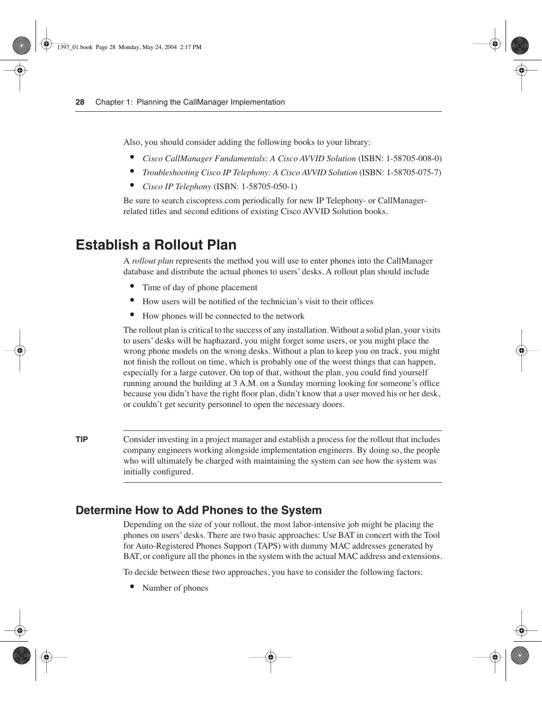Also, you should consider adding the following books to your library:

- *Cisco CallManager Fundamentals: A Cisco AVVID Solution* (ISBN: 1-58705-008-0)
- *Troubleshooting Cisco IP Telephony: A Cisco AVVID Solution* (ISBN: 1-58705-075-7)
- *Cisco IP Telephony* (ISBN: 1-58705-050-1)

Be sure to search ciscopress.com periodically for new IP Telephony- or CallManagerrelated titles and second editions of existing Cisco AVVID Solution books.

# **Establish a Rollout Plan**

A *rollout plan* represents the method you will use to enter phones into the CallManager database and distribute the actual phones to users' desks. A rollout plan should include

- Time of day of phone placement
- How users will be notified of the technician's visit to their offices
- How phones will be connected to the network

The rollout plan is critical to the success of any installation. Without a solid plan, your visits to users' desks will be haphazard, you might forget some users, or you might place the wrong phone models on the wrong desks. Without a plan to keep you on track, you might not finish the rollout on time, which is probably one of the worst things that can happen, especially for a large cutover. On top of that, without the plan, you could find yourself running around the building at 3 A.M. on a Sunday morning looking for someone's office because you didn't have the right floor plan, didn't know that a user moved his or her desk, or couldn't get security personnel to open the necessary doors.

**TIP** Consider investing in a project manager and establish a process for the rollout that includes company engineers working alongside implementation engineers. By doing so, the people who will ultimately be charged with maintaining the system can see how the system was initially configured.

#### **Determine How to Add Phones to the System**

Depending on the size of your rollout, the most labor-intensive job might be placing the phones on users' desks. There are two basic approaches: Use BAT in concert with the Tool for Auto-Registered Phones Support (TAPS) with dummy MAC addresses generated by BAT, or configure all the phones in the system with the actual MAC address and extensions.

To decide between these two approaches, you have to consider the following factors:

Number of phones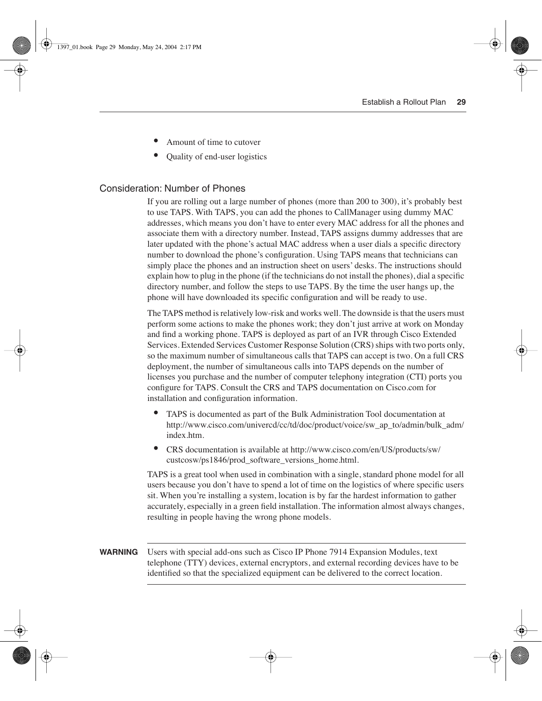- Amount of time to cutover
- Quality of end-user logistics

#### Consideration: Number of Phones

If you are rolling out a large number of phones (more than 200 to 300), it's probably best to use TAPS. With TAPS, you can add the phones to CallManager using dummy MAC addresses, which means you don't have to enter every MAC address for all the phones and associate them with a directory number. Instead, TAPS assigns dummy addresses that are later updated with the phone's actual MAC address when a user dials a specific directory number to download the phone's configuration. Using TAPS means that technicians can simply place the phones and an instruction sheet on users' desks. The instructions should explain how to plug in the phone (if the technicians do not install the phones), dial a specific directory number, and follow the steps to use TAPS. By the time the user hangs up, the phone will have downloaded its specific configuration and will be ready to use.

The TAPS method is relatively low-risk and works well. The downside is that the users must perform some actions to make the phones work; they don't just arrive at work on Monday and find a working phone. TAPS is deployed as part of an IVR through Cisco Extended Services. Extended Services Customer Response Solution (CRS) ships with two ports only, so the maximum number of simultaneous calls that TAPS can accept is two. On a full CRS deployment, the number of simultaneous calls into TAPS depends on the number of licenses you purchase and the number of computer telephony integration (CTI) ports you configure for TAPS. Consult the CRS and TAPS documentation on Cisco.com for installation and configuration information.

- TAPS is documented as part of the Bulk Administration Tool documentation at http://www.cisco.com/univercd/cc/td/doc/product/voice/sw\_ap\_to/admin/bulk\_adm/ index.htm.
- CRS documentation is available at http://www.cisco.com/en/US/products/sw/ custcosw/ps1846/prod\_software\_versions\_home.html.

TAPS is a great tool when used in combination with a single, standard phone model for all users because you don't have to spend a lot of time on the logistics of where specific users sit. When you're installing a system, location is by far the hardest information to gather accurately, especially in a green field installation. The information almost always changes, resulting in people having the wrong phone models.

#### **WARNING** Users with special add-ons such as Cisco IP Phone 7914 Expansion Modules, text telephone (TTY) devices, external encryptors, and external recording devices have to be identified so that the specialized equipment can be delivered to the correct location.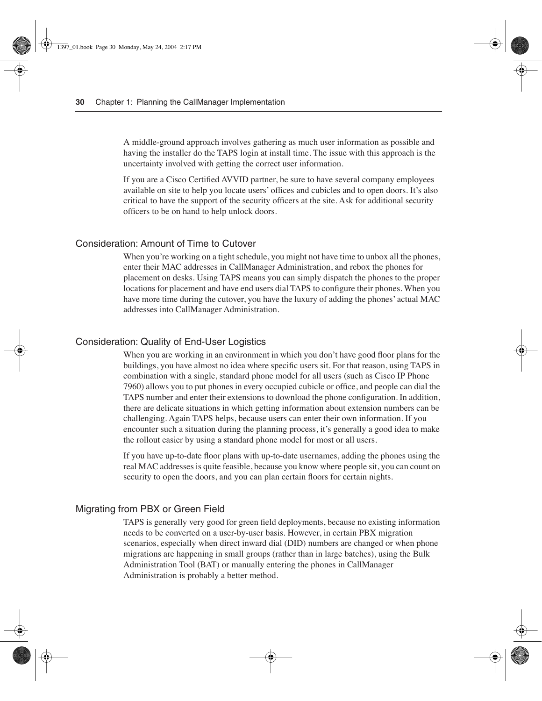A middle-ground approach involves gathering as much user information as possible and having the installer do the TAPS login at install time. The issue with this approach is the uncertainty involved with getting the correct user information.

If you are a Cisco Certified AVVID partner, be sure to have several company employees available on site to help you locate users' offices and cubicles and to open doors. It's also critical to have the support of the security officers at the site. Ask for additional security officers to be on hand to help unlock doors.

#### Consideration: Amount of Time to Cutover

When you're working on a tight schedule, you might not have time to unbox all the phones, enter their MAC addresses in CallManager Administration, and rebox the phones for placement on desks. Using TAPS means you can simply dispatch the phones to the proper locations for placement and have end users dial TAPS to configure their phones. When you have more time during the cutover, you have the luxury of adding the phones' actual MAC addresses into CallManager Administration.

#### Consideration: Quality of End-User Logistics

When you are working in an environment in which you don't have good floor plans for the buildings, you have almost no idea where specific users sit. For that reason, using TAPS in combination with a single, standard phone model for all users (such as Cisco IP Phone 7960) allows you to put phones in every occupied cubicle or office, and people can dial the TAPS number and enter their extensions to download the phone configuration. In addition, there are delicate situations in which getting information about extension numbers can be challenging. Again TAPS helps, because users can enter their own information. If you encounter such a situation during the planning process, it's generally a good idea to make the rollout easier by using a standard phone model for most or all users.

If you have up-to-date floor plans with up-to-date usernames, adding the phones using the real MAC addresses is quite feasible, because you know where people sit, you can count on security to open the doors, and you can plan certain floors for certain nights.

#### Migrating from PBX or Green Field

TAPS is generally very good for green field deployments, because no existing information needs to be converted on a user-by-user basis. However, in certain PBX migration scenarios, especially when direct inward dial (DID) numbers are changed or when phone migrations are happening in small groups (rather than in large batches), using the Bulk Administration Tool (BAT) or manually entering the phones in CallManager Administration is probably a better method.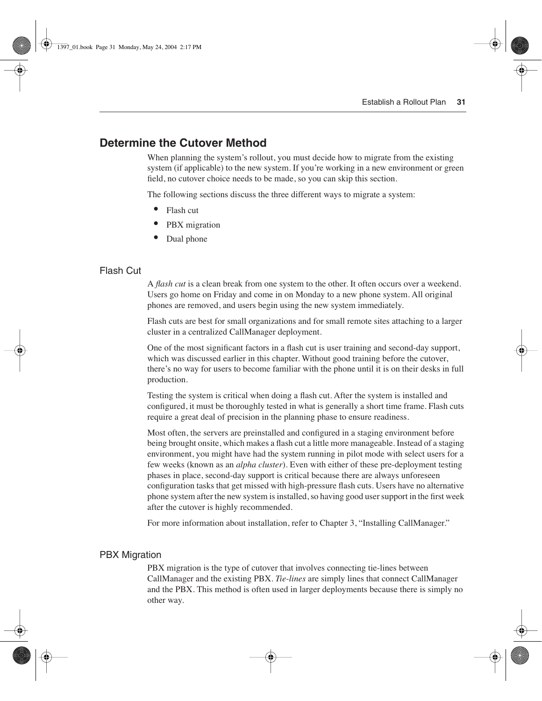### **Determine the Cutover Method**

When planning the system's rollout, you must decide how to migrate from the existing system (if applicable) to the new system. If you're working in a new environment or green field, no cutover choice needs to be made, so you can skip this section.

The following sections discuss the three different ways to migrate a system:

- Flash cut
- PBX migration
- Dual phone

#### Flash Cut

A *flash cut* is a clean break from one system to the other. It often occurs over a weekend. Users go home on Friday and come in on Monday to a new phone system. All original phones are removed, and users begin using the new system immediately.

Flash cuts are best for small organizations and for small remote sites attaching to a larger cluster in a centralized CallManager deployment.

One of the most significant factors in a flash cut is user training and second-day support, which was discussed earlier in this chapter. Without good training before the cutover, there's no way for users to become familiar with the phone until it is on their desks in full production.

Testing the system is critical when doing a flash cut. After the system is installed and configured, it must be thoroughly tested in what is generally a short time frame. Flash cuts require a great deal of precision in the planning phase to ensure readiness.

Most often, the servers are preinstalled and configured in a staging environment before being brought onsite, which makes a flash cut a little more manageable. Instead of a staging environment, you might have had the system running in pilot mode with select users for a few weeks (known as an *alpha cluster*). Even with either of these pre-deployment testing phases in place, second-day support is critical because there are always unforeseen configuration tasks that get missed with high-pressure flash cuts. Users have no alternative phone system after the new system is installed, so having good user support in the first week after the cutover is highly recommended.

For more information about installation, refer to Chapter 3, "Installing CallManager."

#### PBX Migration

PBX migration is the type of cutover that involves connecting tie-lines between CallManager and the existing PBX. *Tie-lines* are simply lines that connect CallManager and the PBX. This method is often used in larger deployments because there is simply no other way.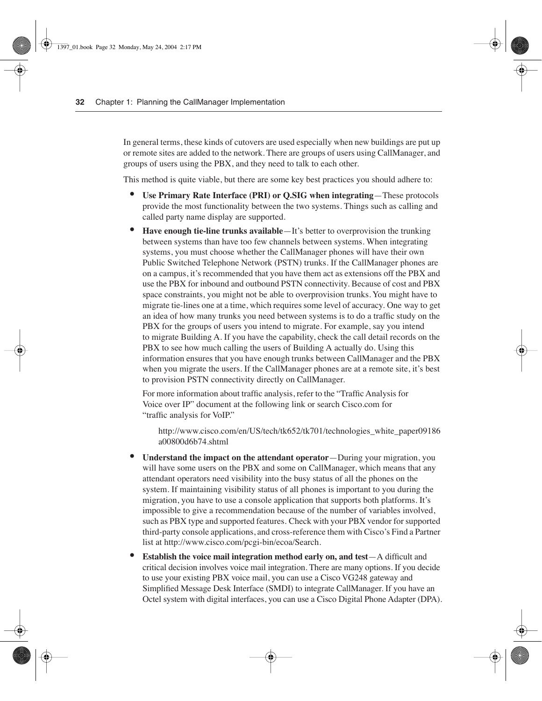In general terms, these kinds of cutovers are used especially when new buildings are put up or remote sites are added to the network. There are groups of users using CallManager, and groups of users using the PBX, and they need to talk to each other.

This method is quite viable, but there are some key best practices you should adhere to:

- **Use Primary Rate Interface (PRI) or Q.SIG when integrating**—These protocols provide the most functionality between the two systems. Things such as calling and called party name display are supported.
- **Have enough tie-line trunks available**—It's better to overprovision the trunking between systems than have too few channels between systems. When integrating systems, you must choose whether the CallManager phones will have their own Public Switched Telephone Network (PSTN) trunks. If the CallManager phones are on a campus, it's recommended that you have them act as extensions off the PBX and use the PBX for inbound and outbound PSTN connectivity. Because of cost and PBX space constraints, you might not be able to overprovision trunks. You might have to migrate tie-lines one at a time, which requires some level of accuracy. One way to get an idea of how many trunks you need between systems is to do a traffic study on the PBX for the groups of users you intend to migrate. For example, say you intend to migrate Building A. If you have the capability, check the call detail records on the PBX to see how much calling the users of Building A actually do. Using this information ensures that you have enough trunks between CallManager and the PBX when you migrate the users. If the CallManager phones are at a remote site, it's best to provision PSTN connectivity directly on CallManager.

For more information about traffic analysis, refer to the "Traffic Analysis for Voice over IP" document at the following link or search Cisco.com for "traffic analysis for VoIP."

http://www.cisco.com/en/US/tech/tk652/tk701/technologies\_white\_paper09186 a00800d6b74.shtml

- **Understand the impact on the attendant operator**—During your migration, you will have some users on the PBX and some on CallManager, which means that any attendant operators need visibility into the busy status of all the phones on the system. If maintaining visibility status of all phones is important to you during the migration, you have to use a console application that supports both platforms. It's impossible to give a recommendation because of the number of variables involved, such as PBX type and supported features. Check with your PBX vendor for supported third-party console applications, and cross-reference them with Cisco's Find a Partner list at http://www.cisco.com/pcgi-bin/ecoa/Search.
- **Establish the voice mail integration method early on, and test**—A difficult and critical decision involves voice mail integration. There are many options. If you decide to use your existing PBX voice mail, you can use a Cisco VG248 gateway and Simplified Message Desk Interface (SMDI) to integrate CallManager. If you have an Octel system with digital interfaces, you can use a Cisco Digital Phone Adapter (DPA).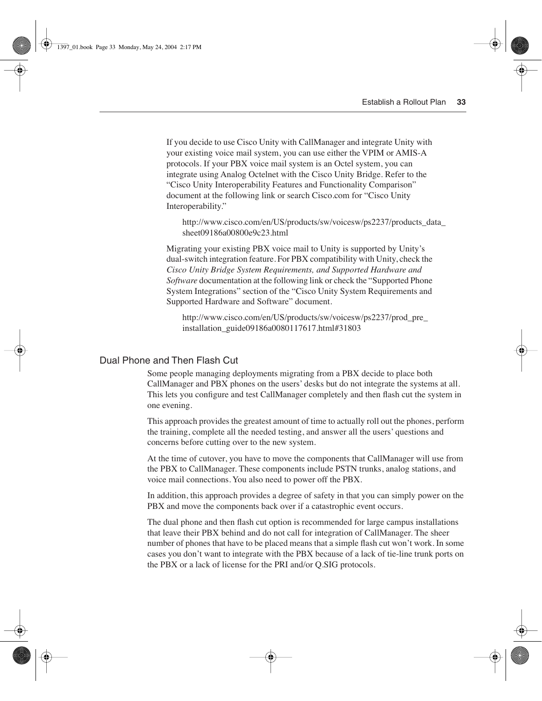If you decide to use Cisco Unity with CallManager and integrate Unity with your existing voice mail system, you can use either the VPIM or AMIS-A protocols. If your PBX voice mail system is an Octel system, you can integrate using Analog Octelnet with the Cisco Unity Bridge. Refer to the "Cisco Unity Interoperability Features and Functionality Comparison" document at the following link or search Cisco.com for "Cisco Unity Interoperability."

http://www.cisco.com/en/US/products/sw/voicesw/ps2237/products\_data\_ sheet09186a00800e9c23.html

Migrating your existing PBX voice mail to Unity is supported by Unity's dual-switch integration feature. For PBX compatibility with Unity, check the *Cisco Unity Bridge System Requirements, and Supported Hardware and Software* documentation at the following link or check the "Supported Phone System Integrations" section of the "Cisco Unity System Requirements and Supported Hardware and Software" document.

http://www.cisco.com/en/US/products/sw/voicesw/ps2237/prod\_pre\_ installation\_guide09186a0080117617.html#31803

#### Dual Phone and Then Flash Cut

Some people managing deployments migrating from a PBX decide to place both CallManager and PBX phones on the users' desks but do not integrate the systems at all. This lets you configure and test CallManager completely and then flash cut the system in one evening.

This approach provides the greatest amount of time to actually roll out the phones, perform the training, complete all the needed testing, and answer all the users' questions and concerns before cutting over to the new system.

At the time of cutover, you have to move the components that CallManager will use from the PBX to CallManager. These components include PSTN trunks, analog stations, and voice mail connections. You also need to power off the PBX.

In addition, this approach provides a degree of safety in that you can simply power on the PBX and move the components back over if a catastrophic event occurs.

The dual phone and then flash cut option is recommended for large campus installations that leave their PBX behind and do not call for integration of CallManager. The sheer number of phones that have to be placed means that a simple flash cut won't work. In some cases you don't want to integrate with the PBX because of a lack of tie-line trunk ports on the PBX or a lack of license for the PRI and/or Q.SIG protocols.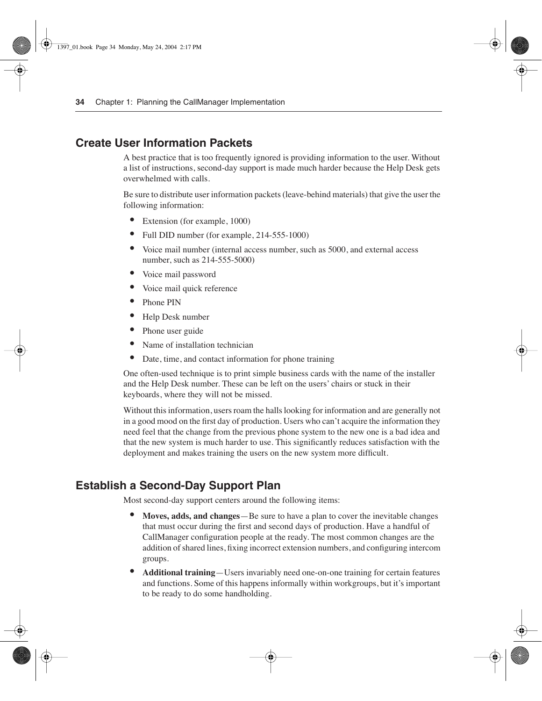## **Create User Information Packets**

A best practice that is too frequently ignored is providing information to the user. Without a list of instructions, second-day support is made much harder because the Help Desk gets overwhelmed with calls.

Be sure to distribute user information packets (leave-behind materials) that give the user the following information:

- Extension (for example, 1000)
- Full DID number (for example, 214-555-1000)
- Voice mail number (internal access number, such as 5000, and external access number, such as 214-555-5000)
- Voice mail password
- Voice mail quick reference
- Phone PIN
- Help Desk number
- Phone user guide
- Name of installation technician
- Date, time, and contact information for phone training

One often-used technique is to print simple business cards with the name of the installer and the Help Desk number. These can be left on the users' chairs or stuck in their keyboards, where they will not be missed.

Without this information, users roam the halls looking for information and are generally not in a good mood on the first day of production. Users who can't acquire the information they need feel that the change from the previous phone system to the new one is a bad idea and that the new system is much harder to use. This significantly reduces satisfaction with the deployment and makes training the users on the new system more difficult.

## **Establish a Second-Day Support Plan**

Most second-day support centers around the following items:

- **Moves, adds, and changes**—Be sure to have a plan to cover the inevitable changes that must occur during the first and second days of production. Have a handful of CallManager configuration people at the ready. The most common changes are the addition of shared lines, fixing incorrect extension numbers, and configuring intercom groups.
- **Additional training**—Users invariably need one-on-one training for certain features and functions. Some of this happens informally within workgroups, but it's important to be ready to do some handholding.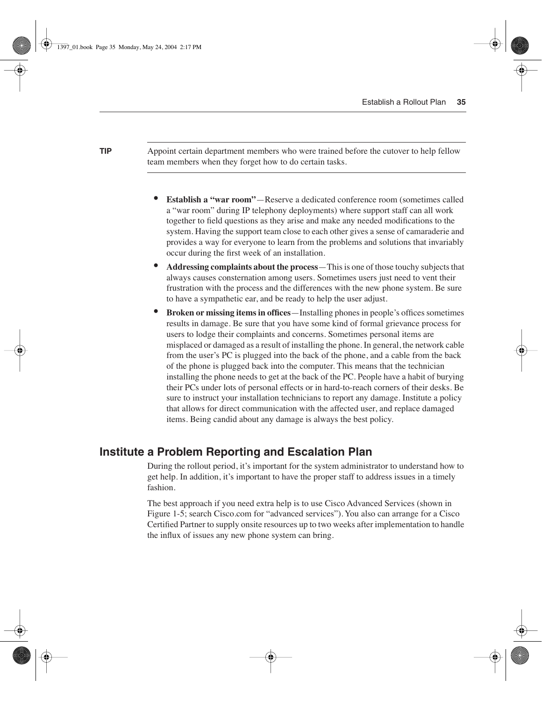**TIP** Appoint certain department members who were trained before the cutover to help fellow team members when they forget how to do certain tasks.

- **Establish a "war room"**—Reserve a dedicated conference room (sometimes called a "war room" during IP telephony deployments) where support staff can all work together to field questions as they arise and make any needed modifications to the system. Having the support team close to each other gives a sense of camaraderie and provides a way for everyone to learn from the problems and solutions that invariably occur during the first week of an installation.
- **Addressing complaints about the process**—This is one of those touchy subjects that always causes consternation among users. Sometimes users just need to vent their frustration with the process and the differences with the new phone system. Be sure to have a sympathetic ear, and be ready to help the user adjust.
- **Broken or missing items in offices**—Installing phones in people's offices sometimes results in damage. Be sure that you have some kind of formal grievance process for users to lodge their complaints and concerns. Sometimes personal items are misplaced or damaged as a result of installing the phone. In general, the network cable from the user's PC is plugged into the back of the phone, and a cable from the back of the phone is plugged back into the computer. This means that the technician installing the phone needs to get at the back of the PC. People have a habit of burying their PCs under lots of personal effects or in hard-to-reach corners of their desks. Be sure to instruct your installation technicians to report any damage. Institute a policy that allows for direct communication with the affected user, and replace damaged items. Being candid about any damage is always the best policy.

#### **Institute a Problem Reporting and Escalation Plan**

During the rollout period, it's important for the system administrator to understand how to get help. In addition, it's important to have the proper staff to address issues in a timely fashion.

The best approach if you need extra help is to use Cisco Advanced Services (shown in Figure 1-5; search Cisco.com for "advanced services"). You also can arrange for a Cisco Certified Partner to supply onsite resources up to two weeks after implementation to handle the influx of issues any new phone system can bring.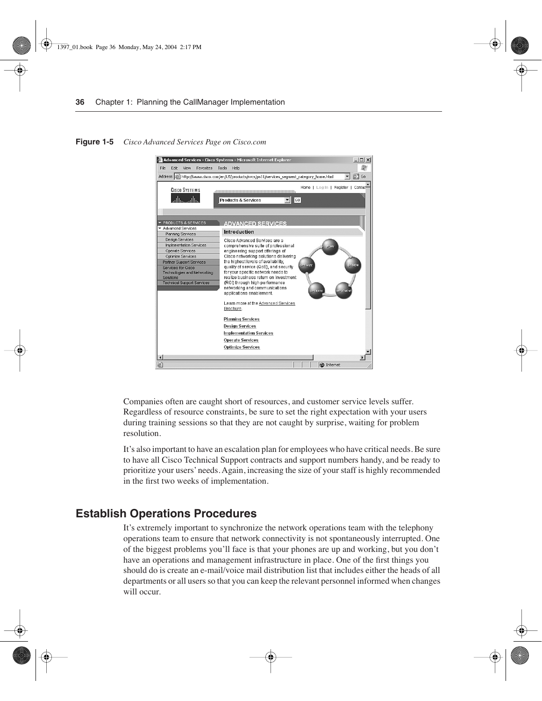

**Figure 1-5** *Cisco Advanced Services Page on Cisco.com*

Companies often are caught short of resources, and customer service levels suffer. Regardless of resource constraints, be sure to set the right expectation with your users during training sessions so that they are not caught by surprise, waiting for problem resolution.

It's also important to have an escalation plan for employees who have critical needs. Be sure to have all Cisco Technical Support contracts and support numbers handy, and be ready to prioritize your users' needs. Again, increasing the size of your staff is highly recommended in the first two weeks of implementation.

## **Establish Operations Procedures**

It's extremely important to synchronize the network operations team with the telephony operations team to ensure that network connectivity is not spontaneously interrupted. One of the biggest problems you'll face is that your phones are up and working, but you don't have an operations and management infrastructure in place. One of the first things you should do is create an e-mail/voice mail distribution list that includes either the heads of all departments or all users so that you can keep the relevant personnel informed when changes will occur.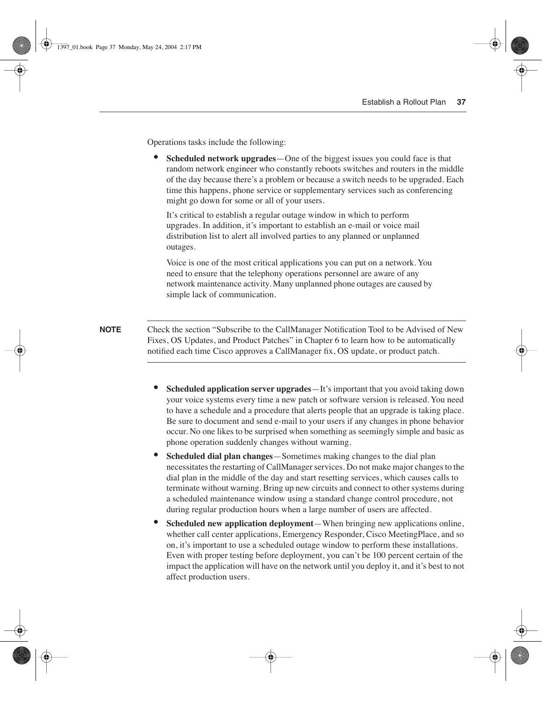Operations tasks include the following:

• **Scheduled network upgrades**—One of the biggest issues you could face is that random network engineer who constantly reboots switches and routers in the middle of the day because there's a problem or because a switch needs to be upgraded. Each time this happens, phone service or supplementary services such as conferencing might go down for some or all of your users.

It's critical to establish a regular outage window in which to perform upgrades. In addition, it's important to establish an e-mail or voice mail distribution list to alert all involved parties to any planned or unplanned outages.

Voice is one of the most critical applications you can put on a network. You need to ensure that the telephony operations personnel are aware of any network maintenance activity. Many unplanned phone outages are caused by simple lack of communication.

**NOTE** Check the section "Subscribe to the CallManager Notification Tool to be Advised of New Fixes, OS Updates, and Product Patches" in Chapter 6 to learn how to be automatically notified each time Cisco approves a CallManager fix, OS update, or product patch.

- **Scheduled application server upgrades**—It's important that you avoid taking down your voice systems every time a new patch or software version is released. You need to have a schedule and a procedure that alerts people that an upgrade is taking place. Be sure to document and send e-mail to your users if any changes in phone behavior occur. No one likes to be surprised when something as seemingly simple and basic as phone operation suddenly changes without warning.
- **Scheduled dial plan changes**—Sometimes making changes to the dial plan necessitates the restarting of CallManager services. Do not make major changes to the dial plan in the middle of the day and start resetting services, which causes calls to terminate without warning. Bring up new circuits and connect to other systems during a scheduled maintenance window using a standard change control procedure, not during regular production hours when a large number of users are affected.
- **Scheduled new application deployment**—When bringing new applications online, whether call center applications, Emergency Responder, Cisco MeetingPlace, and so on, it's important to use a scheduled outage window to perform these installations. Even with proper testing before deployment, you can't be 100 percent certain of the impact the application will have on the network until you deploy it, and it's best to not affect production users.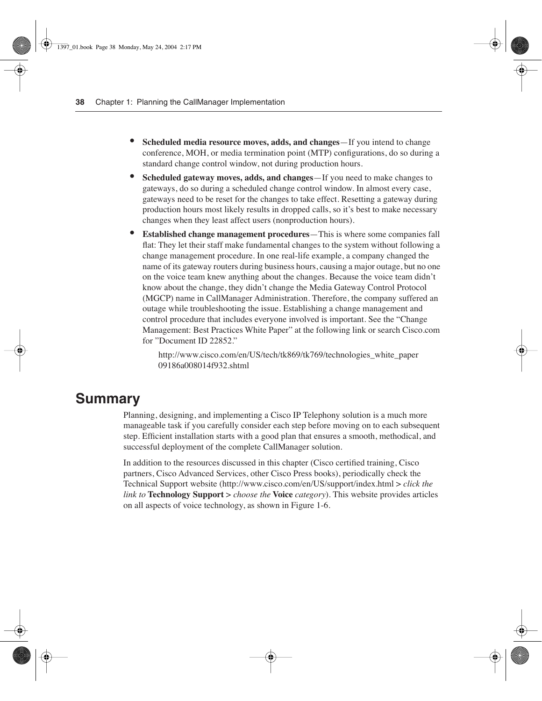- **Scheduled media resource moves, adds, and changes**—If you intend to change conference, MOH, or media termination point (MTP) configurations, do so during a standard change control window, not during production hours.
- **Scheduled gateway moves, adds, and changes**—If you need to make changes to gateways, do so during a scheduled change control window. In almost every case, gateways need to be reset for the changes to take effect. Resetting a gateway during production hours most likely results in dropped calls, so it's best to make necessary changes when they least affect users (nonproduction hours).
- **Established change management procedures**—This is where some companies fall flat: They let their staff make fundamental changes to the system without following a change management procedure. In one real-life example, a company changed the name of its gateway routers during business hours, causing a major outage, but no one on the voice team knew anything about the changes. Because the voice team didn't know about the change, they didn't change the Media Gateway Control Protocol (MGCP) name in CallManager Administration. Therefore, the company suffered an outage while troubleshooting the issue. Establishing a change management and control procedure that includes everyone involved is important. See the "Change Management: Best Practices White Paper" at the following link or search Cisco.com for "Document ID 22852."

http://www.cisco.com/en/US/tech/tk869/tk769/technologies\_white\_paper 09186a008014f932.shtml

# **Summary**

Planning, designing, and implementing a Cisco IP Telephony solution is a much more manageable task if you carefully consider each step before moving on to each subsequent step. Efficient installation starts with a good plan that ensures a smooth, methodical, and successful deployment of the complete CallManager solution.

In addition to the resources discussed in this chapter (Cisco certified training, Cisco partners, Cisco Advanced Services, other Cisco Press books), periodically check the Technical Support website (http://www.cisco.com/en/US/support/index.html > *click the link to* **Technology Support** > *choose the* **Voice** *category*). This website provides articles on all aspects of voice technology, as shown in Figure 1-6.